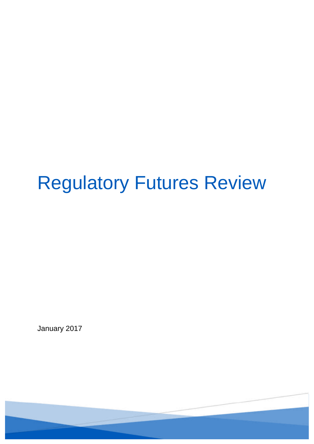# Regulatory Futures Review

January 2017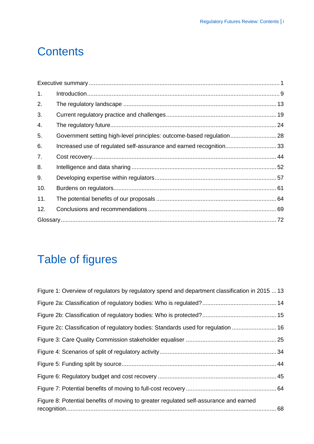# **Contents**

| 1 <sub>1</sub> |                                                                       |  |
|----------------|-----------------------------------------------------------------------|--|
| 2.             |                                                                       |  |
| 3.             |                                                                       |  |
| 4.             |                                                                       |  |
| 5.             | Government setting high-level principles: outcome-based regulation 28 |  |
| 6.             | Increased use of regulated self-assurance and earned recognition 33   |  |
| 7.             |                                                                       |  |
| 8.             |                                                                       |  |
| 9.             |                                                                       |  |
| 10.            |                                                                       |  |
| 11.            |                                                                       |  |
| 12.            |                                                                       |  |
|                |                                                                       |  |

# Table of figures

| Figure 1: Overview of regulators by regulatory spend and department classification in 2015  13 |  |
|------------------------------------------------------------------------------------------------|--|
|                                                                                                |  |
|                                                                                                |  |
| Figure 2c: Classification of regulatory bodies: Standards used for regulation  16              |  |
|                                                                                                |  |
|                                                                                                |  |
|                                                                                                |  |
|                                                                                                |  |
|                                                                                                |  |
| Figure 8: Potential benefits of moving to greater regulated self-assurance and earned          |  |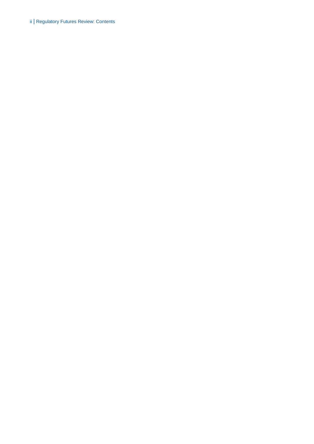ii | Regulatory Futures Review: Contents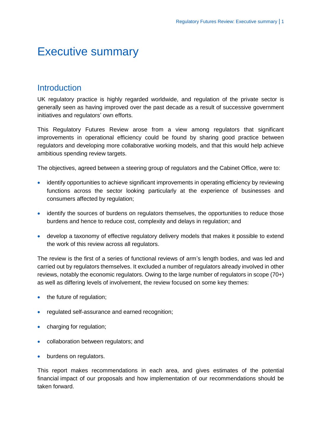# <span id="page-4-0"></span>Executive summary

### Introduction

UK regulatory practice is highly regarded worldwide, and regulation of the private sector is generally seen as having improved over the past decade as a result of successive government initiatives and regulators' own efforts.

This Regulatory Futures Review arose from a view among regulators that significant improvements in operational efficiency could be found by sharing good practice between regulators and developing more collaborative working models, and that this would help achieve ambitious spending review targets.

The objectives, agreed between a steering group of regulators and the Cabinet Office, were to:

- identify opportunities to achieve significant improvements in operating efficiency by reviewing functions across the sector looking particularly at the experience of businesses and consumers affected by regulation;
- identify the sources of burdens on regulators themselves, the opportunities to reduce those burdens and hence to reduce cost, complexity and delays in regulation; and
- develop a taxonomy of effective regulatory delivery models that makes it possible to extend the work of this review across all regulators.

The review is the first of a series of functional reviews of arm's length bodies, and was led and carried out by regulators themselves. It excluded a number of regulators already involved in other reviews, notably the economic regulators. Owing to the large number of regulators in scope (70+) as well as differing levels of involvement, the review focused on some key themes:

- the future of regulation;
- regulated self-assurance and earned recognition;
- charging for regulation:
- collaboration between regulators; and
- burdens on regulators.

This report makes recommendations in each area, and gives estimates of the potential financial impact of our proposals and how implementation of our recommendations should be taken forward.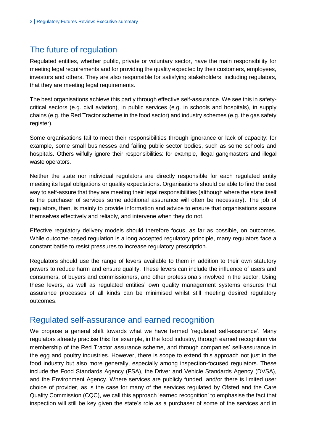# The future of regulation

Regulated entities, whether public, private or voluntary sector, have the main responsibility for meeting legal requirements and for providing the quality expected by their customers, employees, investors and others. They are also responsible for satisfying stakeholders, including regulators, that they are meeting legal requirements.

The best organisations achieve this partly through effective self-assurance. We see this in safetycritical sectors (e.g. civil aviation), in public services (e.g. in schools and hospitals), in supply chains (e.g. the Red Tractor scheme in the food sector) and industry schemes (e.g. the gas safety register).

Some organisations fail to meet their responsibilities through ignorance or lack of capacity: for example, some small businesses and failing public sector bodies, such as some schools and hospitals. Others wilfully ignore their responsibilities: for example, illegal gangmasters and illegal waste operators.

Neither the state nor individual regulators are directly responsible for each regulated entity meeting its legal obligations or quality expectations. Organisations should be able to find the best way to self-assure that they are meeting their legal responsibilities (although where the state itself is the purchaser of services some additional assurance will often be necessary). The job of regulators, then, is mainly to provide information and advice to ensure that organisations assure themselves effectively and reliably, and intervene when they do not.

Effective regulatory delivery models should therefore focus, as far as possible, on outcomes. While outcome-based regulation is a long accepted regulatory principle, many regulators face a constant battle to resist pressures to increase regulatory prescription.

Regulators should use the range of levers available to them in addition to their own statutory powers to reduce harm and ensure quality. These levers can include the influence of users and consumers, of buyers and commissioners, and other professionals involved in the sector. Using these levers, as well as regulated entities' own quality management systems ensures that assurance processes of all kinds can be minimised whilst still meeting desired regulatory outcomes.

### Regulated self-assurance and earned recognition

We propose a general shift towards what we have termed 'regulated self-assurance'. Many regulators already practise this: for example, in the food industry, through earned recognition via membership of the Red Tractor assurance scheme, and through companies' self-assurance in the egg and poultry industries. However, there is scope to extend this approach not just in the food industry but also more generally, especially among inspection-focused regulators. These include the Food Standards Agency (FSA), the Driver and Vehicle Standards Agency (DVSA), and the Environment Agency. Where services are publicly funded, and/or there is limited user choice of provider, as is the case for many of the services regulated by Ofsted and the Care Quality Commission (CQC), we call this approach 'earned recognition' to emphasise the fact that inspection will still be key given the state's role as a purchaser of some of the services and in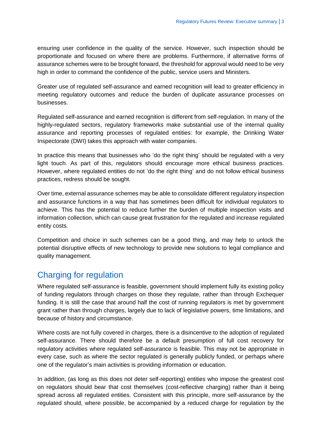ensuring user confidence in the quality of the service. However, such inspection should be proportionate and focused on where there are problems. Furthermore, if alternative forms of assurance schemes were to be brought forward, the threshold for approval would need to be very high in order to command the confidence of the public, service users and Ministers.

Greater use of regulated self-assurance and earned recognition will lead to greater efficiency in meeting regulatory outcomes and reduce the burden of duplicate assurance processes on businesses.

Regulated self-assurance and earned recognition is different from self-regulation. In many of the highly-regulated sectors, regulatory frameworks make substantial use of the internal quality assurance and reporting processes of regulated entities: for example, the Drinking Water Inspectorate (DWI) takes this approach with water companies.

In practice this means that businesses who 'do the right thing' should be regulated with a very light touch. As part of this, regulators should encourage more ethical business practices. However, where regulated entities do not 'do the right thing' and do not follow ethical business practices, redress should be sought.

Over time, external assurance schemes may be able to consolidate different regulatory inspection and assurance functions in a way that has sometimes been difficult for individual regulators to achieve. This has the potential to reduce further the burden of multiple inspection visits and information collection, which can cause great frustration for the regulated and increase regulated entity costs.

Competition and choice in such schemes can be a good thing, and may help to unlock the potential disruptive effects of new technology to provide new solutions to legal compliance and quality management.

# Charging for regulation

Where regulated self-assurance is feasible, government should implement fully its existing policy of funding regulators through charges on those they regulate, rather than through Exchequer funding. It is still the case that around half the cost of running regulators is met by government grant rather than through charges, largely due to lack of legislative powers, time limitations, and because of history and circumstance.

Where costs are not fully covered in charges, there is a disincentive to the adoption of regulated self-assurance. There should therefore be a default presumption of full cost recovery for regulatory activities where regulated self-assurance is feasible. This may not be appropriate in every case, such as where the sector regulated is generally publicly funded, or perhaps where one of the regulator's main activities is providing information or education.

In addition, (as long as this does not deter self-reporting) entities who impose the greatest cost on regulators should bear that cost themselves (cost-reflective charging) rather than it being spread across all regulated entities. Consistent with this principle, more self-assurance by the regulated should, where possible, be accompanied by a reduced charge for regulation by the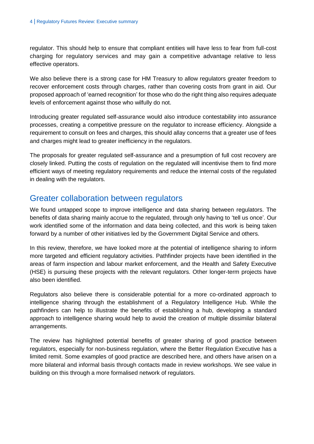regulator. This should help to ensure that compliant entities will have less to fear from full-cost charging for regulatory services and may gain a competitive advantage relative to less effective operators.

We also believe there is a strong case for HM Treasury to allow regulators greater freedom to recover enforcement costs through charges, rather than covering costs from grant in aid. Our proposed approach of 'earned recognition' for those who do the right thing also requires adequate levels of enforcement against those who wilfully do not.

Introducing greater regulated self-assurance would also introduce contestability into assurance processes, creating a competitive pressure on the regulator to increase efficiency. Alongside a requirement to consult on fees and charges, this should allay concerns that a greater use of fees and charges might lead to greater inefficiency in the regulators.

The proposals for greater regulated self-assurance and a presumption of full cost recovery are closely linked. Putting the costs of regulation on the regulated will incentivise them to find more efficient ways of meeting regulatory requirements and reduce the internal costs of the regulated in dealing with the regulators.

### Greater collaboration between regulators

We found untapped scope to improve intelligence and data sharing between regulators. The benefits of data sharing mainly accrue to the regulated, through only having to 'tell us once'. Our work identified some of the information and data being collected, and this work is being taken forward by a number of other initiatives led by the Government Digital Service and others.

In this review, therefore, we have looked more at the potential of intelligence sharing to inform more targeted and efficient regulatory activities. Pathfinder projects have been identified in the areas of farm inspection and labour market enforcement, and the Health and Safety Executive (HSE) is pursuing these projects with the relevant regulators. Other longer-term projects have also been identified.

Regulators also believe there is considerable potential for a more co-ordinated approach to intelligence sharing through the establishment of a Regulatory Intelligence Hub. While the pathfinders can help to illustrate the benefits of establishing a hub, developing a standard approach to intelligence sharing would help to avoid the creation of multiple dissimilar bilateral arrangements.

The review has highlighted potential benefits of greater sharing of good practice between regulators, especially for non-business regulation, where the Better Regulation Executive has a limited remit. Some examples of good practice are described here, and others have arisen on a more bilateral and informal basis through contacts made in review workshops. We see value in building on this through a more formalised network of regulators.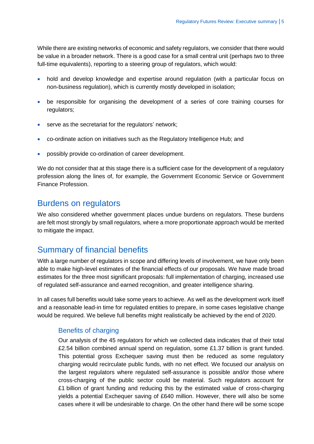While there are existing networks of economic and safety regulators, we consider that there would be value in a broader network. There is a good case for a small central unit (perhaps two to three full-time equivalents), reporting to a steering group of regulators, which would:

- hold and develop knowledge and expertise around regulation (with a particular focus on non-business regulation), which is currently mostly developed in isolation;
- be responsible for organising the development of a series of core training courses for regulators;
- serve as the secretariat for the regulators' network;
- co-ordinate action on initiatives such as the Regulatory Intelligence Hub; and
- possibly provide co-ordination of career development.

We do not consider that at this stage there is a sufficient case for the development of a regulatory profession along the lines of, for example, the Government Economic Service or Government Finance Profession.

# Burdens on regulators

We also considered whether government places undue burdens on regulators. These burdens are felt most strongly by small regulators, where a more proportionate approach would be merited to mitigate the impact.

# Summary of financial benefits

With a large number of regulators in scope and differing levels of involvement, we have only been able to make high-level estimates of the financial effects of our proposals. We have made broad estimates for the three most significant proposals: full implementation of charging, increased use of regulated self-assurance and earned recognition, and greater intelligence sharing.

In all cases full benefits would take some years to achieve. As well as the development work itself and a reasonable lead-in time for regulated entities to prepare, in some cases legislative change would be required. We believe full benefits might realistically be achieved by the end of 2020.

### Benefits of charging

Our analysis of the 45 regulators for which we collected data indicates that of their total £2.54 billion combined annual spend on regulation, some £1.37 billion is grant funded. This potential gross Exchequer saving must then be reduced as some regulatory charging would recirculate public funds, with no net effect. We focused our analysis on the largest regulators where regulated self-assurance is possible and/or those where cross-charging of the public sector could be material. Such regulators account for £1 billion of grant funding and reducing this by the estimated value of cross-charging yields a potential Exchequer saving of £640 million. However, there will also be some cases where it will be undesirable to charge. On the other hand there will be some scope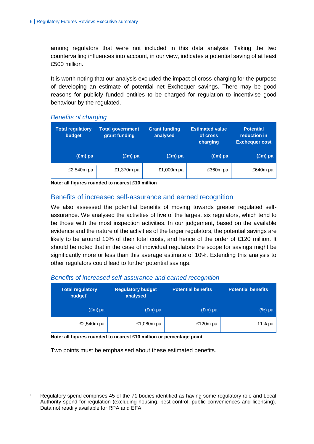among regulators that were not included in this data analysis. Taking the two countervailing influences into account, in our view, indicates a potential saving of at least £500 million.

It is worth noting that our analysis excluded the impact of cross-charging for the purpose of developing an estimate of potential net Exchequer savings. There may be good reasons for publicly funded entities to be charged for regulation to incentivise good behaviour by the regulated.

#### *Benefits of charging*

 $\overline{a}$ 

| <b>Total regulatory</b><br>budget | <b>Total government</b><br>grant funding | <b>Grant funding</b><br>analysed | <b>Estimated value</b><br>of cross<br>charging | <b>Potential</b><br>reduction in<br><b>Exchequer cost</b> |  |
|-----------------------------------|------------------------------------------|----------------------------------|------------------------------------------------|-----------------------------------------------------------|--|
| (£m) pa                           | (£m) pa                                  | $(\text{Em})$ pa                 | $(\text{Em})$ pa                               | $(\text{Em})$ pa                                          |  |
| £2,540 $m$ pa                     | £1,370m pa                               | £1,000m pa                       | £360m pa                                       | £640m pa                                                  |  |

**Note: all figures rounded to nearest £10 million**

#### Benefits of increased self-assurance and earned recognition

We also assessed the potential benefits of moving towards greater regulated selfassurance. We analysed the activities of five of the largest six regulators, which tend to be those with the most inspection activities. In our judgement, based on the available evidence and the nature of the activities of the larger regulators, the potential savings are likely to be around 10% of their total costs, and hence of the order of £120 million. It should be noted that in the case of individual regulators the scope for savings might be significantly more or less than this average estimate of 10%. Extending this analysis to other regulators could lead to further potential savings.

| <b>Total regulatory</b><br>budget <sup>1</sup> | <b>Regulatory budget</b><br>analysed | <b>Potential benefits</b> | <b>Potential benefits</b> |  |  |
|------------------------------------------------|--------------------------------------|---------------------------|---------------------------|--|--|
| $(\text{Em})$ pa                               | (£m) pa                              | (£m) pa                   | (%) pa                    |  |  |
| £2,540 $m$ pa                                  | £1,080m pa                           | £120 $m$ pa               | 11% pa                    |  |  |

#### *Benefits of increased self-assurance and earned recognition*

**Note: all figures rounded to nearest £10 million or percentage point**

Two points must be emphasised about these estimated benefits.

<sup>1</sup> Regulatory spend comprises 45 of the 71 bodies identified as having some regulatory role and Local Authority spend for regulation (excluding housing, pest control, public conveniences and licensing). Data not readily available for RPA and EFA.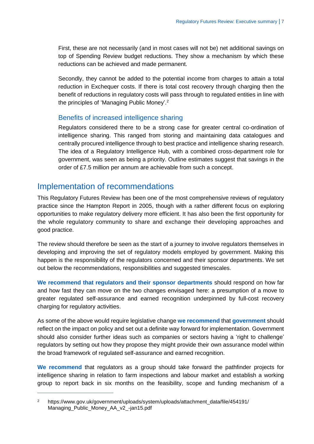First, these are not necessarily (and in most cases will not be) net additional savings on top of Spending Review budget reductions. They show a mechanism by which these reductions can be achieved and made permanent.

Secondly, they cannot be added to the potential income from charges to attain a total reduction in Exchequer costs. If there is total cost recovery through charging then the benefit of reductions in regulatory costs will pass through to regulated entities in line with the principles of 'Managing Public Money'. 2

#### Benefits of increased intelligence sharing

Regulators considered there to be a strong case for greater central co-ordination of intelligence sharing. This ranged from storing and maintaining data catalogues and centrally procured intelligence through to best practice and intelligence sharing research. The idea of a Regulatory Intelligence Hub, with a combined cross-department role for government, was seen as being a priority. Outline estimates suggest that savings in the order of £7.5 million per annum are achievable from such a concept.

### Implementation of recommendations

This Regulatory Futures Review has been one of the most comprehensive reviews of regulatory practice since the Hampton Report in 2005, though with a rather different focus on exploring opportunities to make regulatory delivery more efficient. It has also been the first opportunity for the whole regulatory community to share and exchange their developing approaches and good practice.

The review should therefore be seen as the start of a journey to involve regulators themselves in developing and improving the set of regulatory models employed by government. Making this happen is the responsibility of the regulators concerned and their sponsor departments. We set out below the recommendations, responsibilities and suggested timescales.

**We recommend that regulators and their sponsor departments** should respond on how far and how fast they can move on the two changes envisaged here: a presumption of a move to greater regulated self-assurance and earned recognition underpinned by full-cost recovery charging for regulatory activities.

As some of the above would require legislative change **we recommend** that **government** should reflect on the impact on policy and set out a definite way forward for implementation. Government should also consider further ideas such as companies or sectors having a 'right to challenge' regulators by setting out how they propose they might provide their own assurance model within the broad framework of regulated self-assurance and earned recognition.

**We recommend** that regulators as a group should take forward the pathfinder projects for intelligence sharing in relation to farm inspections and labour market and establish a working group to report back in six months on the feasibility, scope and funding mechanism of a

 $\overline{a}$ 

<sup>&</sup>lt;sup>2</sup> [https://www.gov.uk/government/uploads/system/uploads/attachment\\_data/file/454191/](https://www.gov.uk/government/uploads/system/uploads/attachment_data/file/454191/Managing_Public_Money_AA_v2_-jan15.pdf) Managing Public Money AA v2 -jan15.pdf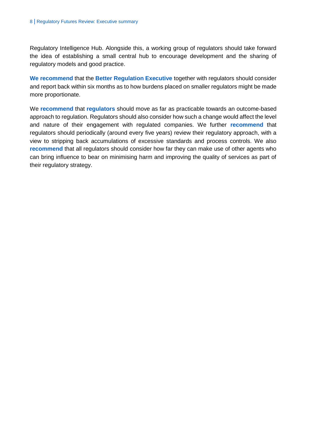Regulatory Intelligence Hub. Alongside this, a working group of regulators should take forward the idea of establishing a small central hub to encourage development and the sharing of regulatory models and good practice.

**We recommend** that the **Better Regulation Executive** together with regulators should consider and report back within six months as to how burdens placed on smaller regulators might be made more proportionate.

We **recommend** that **regulators** should move as far as practicable towards an outcome-based approach to regulation. Regulators should also consider how such a change would affect the level and nature of their engagement with regulated companies. We further **recommend** that regulators should periodically (around every five years) review their regulatory approach, with a view to stripping back accumulations of excessive standards and process controls. We also **recommend** that all regulators should consider how far they can make use of other agents who can bring influence to bear on minimising harm and improving the quality of services as part of their regulatory strategy.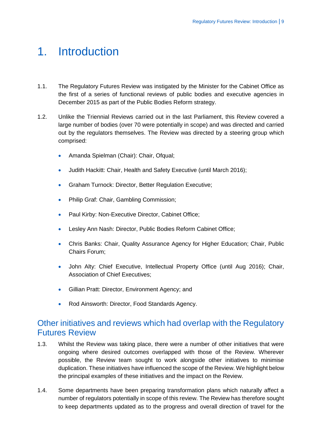# <span id="page-12-0"></span>1. Introduction

- 1.1. The Regulatory Futures Review was instigated by the Minister for the Cabinet Office as the first of a series of functional reviews of public bodies and executive agencies in December 2015 as part of the Public Bodies Reform strategy.
- 1.2. Unlike the Triennial Reviews carried out in the last Parliament, this Review covered a large number of bodies (over 70 were potentially in scope) and was directed and carried out by the regulators themselves. The Review was directed by a steering group which comprised:
	- Amanda Spielman (Chair): Chair, Ofqual:
	- Judith Hackitt: Chair, Health and Safety Executive (until March 2016);
	- Graham Turnock: Director, Better Regulation Executive;
	- Philip Graf: Chair, Gambling Commission;
	- Paul Kirby: Non-Executive Director, Cabinet Office;
	- Lesley Ann Nash: Director, Public Bodies Reform Cabinet Office;
	- Chris Banks: Chair, Quality Assurance Agency for Higher Education; Chair, Public Chairs Forum;
	- John Alty: Chief Executive, Intellectual Property Office (until Aug 2016); Chair, Association of Chief Executives;
	- Gillian Pratt: Director, Environment Agency; and
	- Rod Ainsworth: Director, Food Standards Agency.

### Other initiatives and reviews which had overlap with the Regulatory Futures Review

- 1.3. Whilst the Review was taking place, there were a number of other initiatives that were ongoing where desired outcomes overlapped with those of the Review. Wherever possible, the Review team sought to work alongside other initiatives to minimise duplication. These initiatives have influenced the scope of the Review. We highlight below the principal examples of these initiatives and the impact on the Review.
- 1.4. Some departments have been preparing transformation plans which naturally affect a number of regulators potentially in scope of this review. The Review has therefore sought to keep departments updated as to the progress and overall direction of travel for the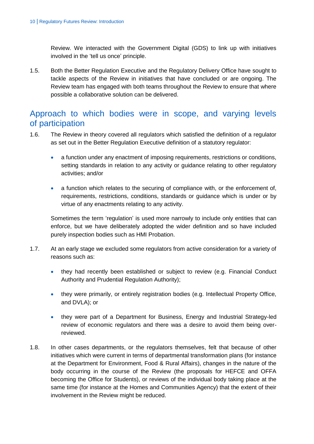Review. We interacted with the Government Digital (GDS) to link up with initiatives involved in the 'tell us once' principle.

1.5. Both the Better Regulation Executive and the Regulatory Delivery Office have sought to tackle aspects of the Review in initiatives that have concluded or are ongoing. The Review team has engaged with both teams throughout the Review to ensure that where possible a collaborative solution can be delivered.

### Approach to which bodies were in scope, and varying levels of participation

- 1.6. The Review in theory covered all regulators which satisfied the definition of a regulator as set out in the Better Regulation Executive definition of a statutory regulator:
	- a function under any enactment of imposing requirements, restrictions or conditions, setting standards in relation to any activity or guidance relating to other regulatory activities; and/or
	- a function which relates to the securing of compliance with, or the enforcement of, requirements, restrictions, conditions, standards or guidance which is under or by virtue of any enactments relating to any activity.

Sometimes the term 'regulation' is used more narrowly to include only entities that can enforce, but we have deliberately adopted the wider definition and so have included purely inspection bodies such as HMI Probation.

- 1.7. At an early stage we excluded some regulators from active consideration for a variety of reasons such as:
	- they had recently been established or subject to review (e.g. Financial Conduct Authority and Prudential Regulation Authority);
	- they were primarily, or entirely registration bodies (e.g. Intellectual Property Office, and DVLA); or
	- they were part of a Department for Business, Energy and Industrial Strategy-led review of economic regulators and there was a desire to avoid them being overreviewed.
- 1.8. In other cases departments, or the regulators themselves, felt that because of other initiatives which were current in terms of departmental transformation plans (for instance at the Department for Environment, Food & Rural Affairs), changes in the nature of the body occurring in the course of the Review (the proposals for HEFCE and OFFA becoming the Office for Students), or reviews of the individual body taking place at the same time (for instance at the Homes and Communities Agency) that the extent of their involvement in the Review might be reduced.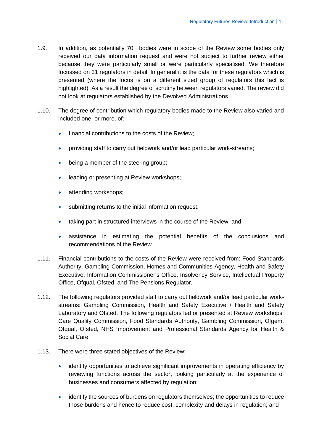- 1.9. In addition, as potentially 70+ bodies were in scope of the Review some bodies only received our data information request and were not subject to further review either because they were particularly small or were particularly specialised. We therefore focussed on 31 regulators in detail. In general it is the data for these regulators which is presented (where the focus is on a different sized group of regulators this fact is highlighted). As a result the degree of scrutiny between regulators varied. The review did not look at regulators established by the Devolved Administrations.
- 1.10. The degree of contribution which regulatory bodies made to the Review also varied and included one, or more, of:
	- **•** financial contributions to the costs of the Review:
	- providing staff to carry out fieldwork and/or lead particular work-streams;
	- **being a member of the steering group;**
	- **.** leading or presenting at Review workshops;
	- attending workshops;
	- submitting returns to the initial information request:
	- taking part in structured interviews in the course of the Review; and
	- assistance in estimating the potential benefits of the conclusions and recommendations of the Review.
- 1.11. Financial contributions to the costs of the Review were received from: Food Standards Authority, Gambling Commission, Homes and Communities Agency, Health and Safety Executive, Information Commissioner's Office, Insolvency Service, Intellectual Property Office, Ofqual, Ofsted, and The Pensions Regulator.
- 1.12. The following regulators provided staff to carry out fieldwork and/or lead particular workstreams: Gambling Commission, Health and Safety Executive / Health and Safety Laboratory and Ofsted. The following regulators led or presented at Review workshops: Care Quality Commission, Food Standards Authority, Gambling Commission, Ofgem, Ofqual, Ofsted, NHS Improvement and Professional Standards Agency for Health & Social Care.
- 1.13. There were three stated objectives of the Review:
	- identify opportunities to achieve significant improvements in operating efficiency by reviewing functions across the sector, looking particularly at the experience of businesses and consumers affected by regulation;
	- identify the sources of burdens on regulators themselves; the opportunities to reduce those burdens and hence to reduce cost, complexity and delays in regulation; and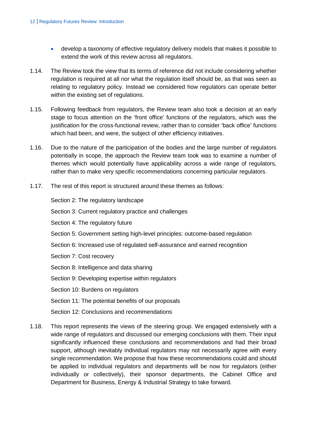- develop a taxonomy of effective regulatory delivery models that makes it possible to extend the work of this review across all regulators.
- 1.14. The Review took the view that its terms of reference did not include considering whether regulation is required at all nor what the regulation itself should be, as that was seen as relating to regulatory policy. Instead we considered how regulators can operate better within the existing set of regulations.
- 1.15. Following feedback from regulators, the Review team also took a decision at an early stage to focus attention on the 'front office' functions of the regulators, which was the justification for the cross-functional review, rather than to consider 'back office' functions which had been, and were, the subject of other efficiency initiatives.
- 1.16. Due to the nature of the participation of the bodies and the large number of regulators potentially in scope, the approach the Review team took was to examine a number of themes which would potentially have applicability across a wide range of regulators, rather than to make very specific recommendations concerning particular regulators.
- 1.17. The rest of this report is structured around these themes as follows:

| Section 2: The regulatory landscape                                           |
|-------------------------------------------------------------------------------|
| Section 3: Current regulatory practice and challenges                         |
| Section 4: The regulatory future                                              |
| Section 5: Government setting high-level principles: outcome-based regulation |
| Section 6: Increased use of regulated self-assurance and earned recognition   |
| Section 7: Cost recovery                                                      |
| Section 8: Intelligence and data sharing                                      |
| Section 9: Developing expertise within regulators                             |
| Section 10: Burdens on regulators                                             |
| Section 11: The potential benefits of our proposals                           |
| Section 12: Conclusions and recommendations                                   |
|                                                                               |

1.18. This report represents the views of the steering group. We engaged extensively with a wide range of regulators and discussed our emerging conclusions with them. Their input significantly influenced these conclusions and recommendations and had their broad support, although inevitably individual regulators may not necessarily agree with every single recommendation. We propose that how these recommendations could and should be applied to individual regulators and departments will be now for regulators (either individually or collectively), their sponsor departments, the Cabinet Office and Department for Business, Energy & Industrial Strategy to take forward.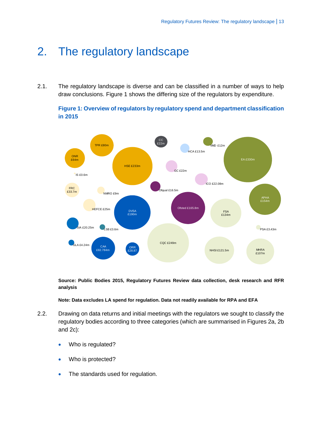# <span id="page-16-0"></span>2. The regulatory landscape

2.1. The regulatory landscape is diverse and can be classified in a number of ways to help draw conclusions. Figure 1 shows the differing size of the regulators by expenditure.

<span id="page-16-1"></span>**Figure 1: Overview of regulators by regulatory spend and department classification in 2015**



**Source: Public Bodies 2015, Regulatory Futures Review data collection, desk research and RFR analysis**

**Note: Data excludes LA spend for regulation. Data not readily available for RPA and EFA**

- 2.2. Drawing on data returns and initial meetings with the regulators we sought to classify the regulatory bodies according to three categories (which are summarised in Figures 2a, 2b and 2c):
	- Who is regulated?
	- Who is protected?
	- The standards used for regulation.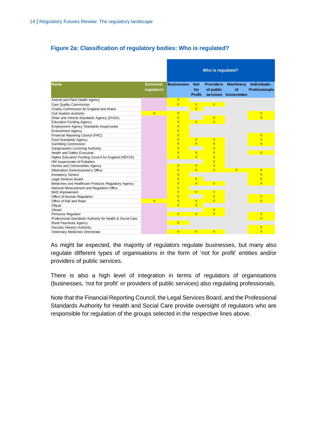#### <span id="page-17-0"></span>**Figure 2a: Classification of regulatory bodies: Who is regulated?**

|                                                           |                 | Who is regulated? |                         |                         |                          |                      |
|-----------------------------------------------------------|-----------------|-------------------|-------------------------|-------------------------|--------------------------|----------------------|
| <b>Name</b>                                               | <b>Economic</b> | <b>Businesses</b> | <b>Not</b>              | <b>Providers</b>        | <b>Machinery</b>         | Individuals -        |
|                                                           | regulators      |                   | for<br><b>Profit</b>    | of public               | of<br>services Governmen | <b>Professionals</b> |
| Animal and Plant Health Agency                            |                 | Y                 |                         |                         |                          |                      |
| Care Quality Commission                                   |                 | Y                 | $\mathbf{\overline{Y}}$ | Ÿ                       |                          |                      |
| Charity Commission for England and Wales                  |                 |                   | Ÿ                       |                         |                          |                      |
| <b>Civil Aviation Authority</b>                           | $\mathsf{Y}$    | Y                 |                         |                         |                          | Y                    |
| Driver and Vehicle Standards Agency (DVSA)                |                 | Y                 |                         | Y                       |                          | $\overline{Y}$       |
| <b>Education Funding Agency</b>                           |                 | Y                 | $\overline{Y}$          | $\overline{\mathsf{Y}}$ |                          |                      |
| Employment Agency Standards Inspectorate                  |                 | Ÿ                 |                         |                         |                          |                      |
| <b>Environment Agency</b>                                 |                 | Y                 |                         |                         |                          |                      |
| Financial Reporting Council (FRC)                         |                 | Y                 |                         |                         |                          | Y                    |
| Food Standards Agency                                     |                 | Y                 | Y                       | Y                       |                          | Ÿ                    |
| <b>Gambling Commission</b>                                |                 | Y                 | Ÿ                       | Ÿ                       |                          | Y                    |
| <b>Gangmasters Licensing Authority</b>                    |                 | Y                 |                         | Ÿ                       |                          |                      |
| Health and Safety Executive                               |                 | Ÿ                 | $\overline{Y}$          | Ÿ                       |                          | Y                    |
| Higher Education Funding Council for England (HEFCE)      |                 | Ÿ                 | Y                       | Ÿ                       |                          |                      |
| HM Inspectorate of Probation                              |                 |                   |                         | Ÿ                       |                          |                      |
| Homes and Communities Agency                              |                 | Y                 | Y                       | Ÿ                       |                          |                      |
| Information Commissioner's Office                         |                 | Y                 | Ÿ                       | Ÿ                       | Ÿ                        | Y                    |
| <b>Insolvency Service</b>                                 |                 | Ÿ                 |                         |                         |                          | Ÿ                    |
| <b>Legal Services Board</b>                               |                 | Ÿ                 | $\mathbf{\overline{Y}}$ |                         |                          | Ÿ                    |
| Medicines and Healthcare Products Regulatory Agency       |                 | Ÿ                 | Ÿ                       | $\mathbf{Y}$            |                          | Y                    |
| National Measurement and Regulation Office                |                 | Y                 |                         |                         |                          |                      |
| NHS Improvement                                           |                 | Ÿ                 | Y                       | Y                       |                          |                      |
| Office of Nuclear Regulation                              |                 | Ÿ                 |                         | Ÿ                       |                          | Y                    |
| Office of Rail and Road                                   | $\mathsf{Y}$    | Y                 | Y                       | Ÿ                       |                          | Ÿ                    |
| Ofqual                                                    |                 | Y                 | Ÿ                       |                         |                          |                      |
| Ofsted                                                    |                 |                   |                         | Ÿ                       |                          |                      |
| <b>Pensions Regulator</b>                                 |                 | Y                 | $\overline{Y}$          | Ÿ                       |                          | Y                    |
| Professional Standards Authority for Health & Social Care |                 |                   |                         |                         |                          | Y                    |
| <b>Rural Payments Agency</b>                              |                 | Y                 |                         |                         |                          |                      |
| Security Industry Authority                               |                 |                   |                         |                         |                          | Y                    |
| Veterinary Medicines Directorate                          |                 | Y                 | Y                       | Ÿ                       |                          | Ÿ                    |

As might be expected, the majority of regulators regulate businesses, but many also regulate different types of organisations in the form of 'not for profit' entities and/or providers of public services.

There is also a high level of integration in terms of regulators of organisations (businesses, 'not for profit' or providers of public services) also regulating professionals.

Note that the Financial Reporting Council, the Legal Services Board, and the Professional Standards Authority for Health and Social Care provide oversight of regulators who are responsible for regulation of the groups selected in the respective lines above.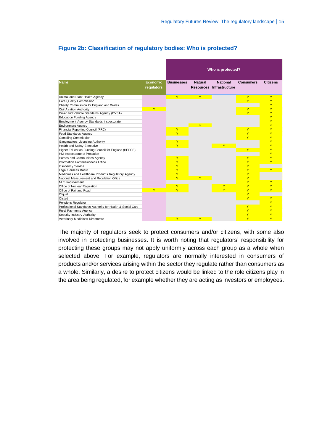|                                                           |                 | Who is protected? |                |                          |                  |                 |
|-----------------------------------------------------------|-----------------|-------------------|----------------|--------------------------|------------------|-----------------|
| <b>Name</b>                                               | <b>Economic</b> | <b>Businesses</b> | <b>Natural</b> | <b>National</b>          | <b>Consumers</b> | <b>Citizens</b> |
|                                                           | regulators      |                   |                | Resources Infrastructure |                  |                 |
| Animal and Plant Health Agency                            |                 | $\overline{Y}$    | Y.             |                          | Y                | Y               |
| Care Quality Commission                                   |                 |                   |                |                          | Ÿ                | Ÿ               |
| Charity Commission for England and Wales                  |                 |                   |                |                          |                  | Ÿ               |
| Civil Aviation Authority                                  | Y               |                   |                |                          | Y                | Ÿ               |
| Driver and Vehicle Standards Agency (DVSA)                |                 |                   |                |                          | Ÿ                | Ÿ               |
| <b>Education Funding Agency</b>                           |                 |                   |                |                          |                  | Ÿ               |
| Employment Agency Standards Inspectorate                  |                 |                   |                |                          |                  | Ÿ               |
| <b>Environment Agency</b>                                 |                 |                   | $\mathsf{Y}$   |                          |                  | Ÿ               |
| Financial Reporting Council (FRC)                         |                 | Y                 |                |                          | Y                | Ÿ               |
| Food Standards Agency                                     |                 | Ÿ                 |                |                          | Ÿ                | Ÿ               |
| <b>Gambling Commission</b>                                |                 |                   |                |                          | Ÿ                | Ÿ               |
| Gangmasters Licensing Authority                           |                 | Y                 |                |                          |                  | Ÿ               |
| Health and Safety Executive                               |                 | Y                 |                | Y                        |                  | Y               |
| Higher Education Funding Council for England (HEFCE)      |                 |                   |                |                          | Y                | Ÿ               |
| HM Inspectorate of Probation                              |                 |                   |                |                          |                  | Ÿ               |
| Homes and Communities Agency                              |                 | Y                 |                |                          | Y                | Ÿ               |
| Information Commissioner's Office                         |                 | Ÿ                 |                |                          | Ÿ                | Ÿ               |
| <b>Insolvency Service</b>                                 |                 | Ÿ                 |                |                          | Ÿ                |                 |
| Legal Services Board                                      |                 | Ÿ                 |                |                          | Ÿ                | Ÿ               |
| Medicines and Healthcare Products Regulatory Agency       |                 | Y                 |                |                          | Ÿ                |                 |
| National Measurement and Regulation Office                |                 | Y                 | Ÿ              |                          | Y                |                 |
| NHS Improvement                                           |                 |                   |                |                          | Ÿ                | Y               |
| Office of Nuclear Regulation                              |                 | Y                 |                | Ÿ                        | Ÿ                | Ÿ               |
| Office of Rail and Road                                   | Y               | Ÿ                 |                | Ÿ                        | Ÿ                | Y               |
| Ofqual                                                    |                 |                   |                |                          | Ÿ                |                 |
| Ofsted                                                    |                 |                   |                |                          | Ÿ                | Y               |
| Pensions Regulator                                        |                 |                   |                |                          |                  | Ÿ               |
| Professional Standards Authority for Health & Social Care |                 |                   |                |                          | Y                | Ÿ               |
| Rural Payments Agency                                     |                 |                   |                |                          | Ÿ                | Ÿ               |
| Security Industry Authority                               |                 |                   |                |                          | Ÿ                | Ÿ               |
| Veterinary Medicines Directorate                          |                 | Y                 | Ÿ              |                          | Ÿ                | Y               |

#### <span id="page-18-0"></span>**Figure 2b: Classification of regulatory bodies: Who is protected?**

The majority of regulators seek to protect consumers and/or citizens, with some also involved in protecting businesses. It is worth noting that regulators' responsibility for protecting these groups may not apply uniformly across each group as a whole when selected above. For example, regulators are normally interested in consumers of products and/or services arising within the sector they regulate rather than consumers as a whole. Similarly, a desire to protect citizens would be linked to the role citizens play in the area being regulated, for example whether they are acting as investors or employees.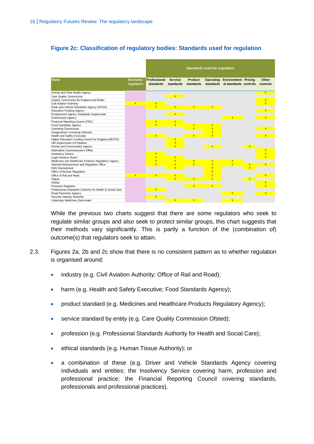#### <span id="page-19-0"></span>**Figure 2c: Classification of regulatory bodies: Standards used for regulation**

|                                                           |                        | <b>Standards used for regulation</b> |                             |                             |                  |                                                               |   |                   |
|-----------------------------------------------------------|------------------------|--------------------------------------|-----------------------------|-----------------------------|------------------|---------------------------------------------------------------|---|-------------------|
| <b>Name</b>                                               | Economic<br>regulators | Professional<br>standards            | <b>Service</b><br>standards | <b>Product</b><br>standards | <b>standards</b> | <b>Operating Environment Pricing</b><br>al standards controls |   | Other<br>controls |
| Animal and Plant Health Agency                            |                        |                                      |                             |                             |                  |                                                               |   | $\overline{Y}$    |
| Care Quality Commission                                   |                        |                                      | Ÿ                           |                             |                  |                                                               |   |                   |
| Charity Commission for England and Wales                  |                        |                                      |                             |                             |                  |                                                               |   | Y                 |
| Civil Aviation Authority                                  | Y                      | Y                                    |                             |                             |                  |                                                               |   | Y                 |
| Driver and Vehicle Standards Agency (DVSA)                |                        | Ÿ                                    | Y                           | Y                           | Y                |                                                               |   |                   |
| <b>Education Funding Agency</b>                           |                        |                                      |                             |                             |                  |                                                               |   | Y                 |
| <b>Employment Agency Standards Inspectorate</b>           |                        |                                      | Ÿ                           |                             |                  |                                                               |   |                   |
| <b>Environment Agency</b>                                 |                        |                                      |                             |                             |                  | Ÿ                                                             |   | Y                 |
| Financial Reporting Council (FRC)                         |                        | Y                                    | Ÿ                           |                             |                  |                                                               |   |                   |
| Food Standards Agency                                     |                        | Ÿ                                    | Ÿ                           | $\overline{Y}$              | Y                |                                                               |   |                   |
| <b>Gambling Commission</b>                                |                        |                                      |                             | Ÿ                           | Ÿ                |                                                               |   | $\mathbf{Y}$      |
| <b>Gangmasters Licensing Authority</b>                    |                        |                                      |                             |                             | Ÿ                |                                                               |   |                   |
| Health and Safety Executive                               |                        | Y                                    |                             | Y                           | Ÿ                |                                                               |   | $\mathbf{Y}$      |
| Higher Education Funding Council for England (HEFCE)      |                        |                                      | Y                           |                             |                  |                                                               |   |                   |
| HM Inspectorate of Probation                              |                        |                                      | Y                           |                             |                  |                                                               |   |                   |
| Homes and Communities Agency                              |                        |                                      | Ÿ                           |                             | Ÿ                |                                                               | Y |                   |
| Information Commissioner's Office                         |                        |                                      |                             |                             |                  |                                                               |   | Y                 |
| <b>Insolvency Service</b>                                 |                        | Y                                    |                             |                             |                  |                                                               |   | Ÿ                 |
| <b>Legal Services Board</b>                               |                        | Ÿ                                    | Ÿ                           |                             |                  |                                                               |   | Y                 |
| Medicines and Healthcare Products Regulatory Agency       |                        | Y                                    | Ÿ                           | Y                           | Y                | Y                                                             |   |                   |
| National Measurement and Regulation Office                |                        | Y                                    | Ÿ                           | Ÿ                           | Ÿ                | Ÿ                                                             | Y | Y                 |
| NHS Improvement                                           |                        |                                      | Ÿ                           |                             | Ÿ                |                                                               | Ÿ |                   |
| Office of Nuclear Regulation                              |                        |                                      |                             |                             | Ÿ                |                                                               |   |                   |
| Office of Rail and Road                                   | Y                      | Y                                    | Ÿ                           |                             | Ÿ                |                                                               |   | Y                 |
| Ofqual                                                    |                        |                                      | Ÿ                           | Ÿ                           | Ÿ                |                                                               | Y |                   |
| Ofsted                                                    |                        |                                      |                             |                             |                  |                                                               |   | Y                 |
| Pensions Regulator                                        |                        |                                      |                             | Ÿ                           | Y                |                                                               |   | Y                 |
| Professional Standards Authority for Health & Social Care |                        | Y                                    |                             |                             |                  |                                                               |   |                   |
| Rural Payments Agency                                     |                        |                                      |                             |                             |                  | Y                                                             |   | Y                 |
| Security Industry Authority                               |                        | Y                                    |                             |                             |                  |                                                               |   |                   |
| Veterinary Medicines Directorate                          |                        |                                      | Ÿ                           | Ÿ                           |                  | Ÿ                                                             |   |                   |

While the previous two charts suggest that there are some regulators who seek to regulate similar groups and also seek to protect similar groups, this chart suggests that their methods vary significantly. This is partly a function of the (combination of) outcome(s) that regulators seek to attain.

- 2.3. Figures 2a, 2b and 2c show that there is no consistent pattern as to whether regulation is organised around:
	- industry (e.g. Civil Aviation Authority: Office of Rail and Road);
	- harm (e.g. Health and Safety Executive; Food Standards Agency);
	- product standard (e.g. Medicines and Healthcare Products Regulatory Agency);
	- service standard by entity (e.g. Care Quality Commission Ofsted);
	- profession (e.g. Professional Standards Authority for Health and Social Care);
	- ethical standards (e.g. Human Tissue Authority); or
	- a combination of these (e.g. Driver and Vehicle Standards Agency covering individuals and entities; the Insolvency Service covering harm, profession and professional practice; the Financial Reporting Council covering standards, professionals and professional practices).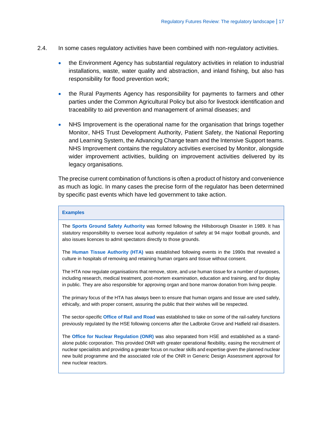- 2.4. In some cases regulatory activities have been combined with non-regulatory activities.
	- the Environment Agency has substantial regulatory activities in relation to industrial installations, waste, water quality and abstraction, and inland fishing, but also has responsibility for flood prevention work;
	- the Rural Payments Agency has responsibility for payments to farmers and other parties under the Common Agricultural Policy but also for livestock identification and traceability to aid prevention and management of animal diseases; and
	- NHS Improvement is the operational name for the organisation that brings together Monitor, NHS Trust Development Authority, Patient Safety, the National Reporting and Learning System, the Advancing Change team and the Intensive Support teams. NHS Improvement contains the regulatory activities exercised by Monitor, alongside wider improvement activities, building on improvement activities delivered by its legacy organisations.

The precise current combination of functions is often a product of history and convenience as much as logic. In many cases the precise form of the regulator has been determined by specific past events which have led government to take action.

#### **Examples**

The **Sports Ground Safety Authority** was formed following the Hillsborough Disaster in 1989. It has statutory responsibility to oversee local authority regulation of safety at 94 major football grounds, and also issues licences to admit spectators directly to those grounds.

The **Human Tissue Authority (HTA)** was established following events in the 1990s that revealed a culture in hospitals of removing and retaining human organs and tissue without consent.

The HTA now regulate organisations that remove, store, and use human tissue for a number of purposes, including research, medical treatment, post-mortem examination, education and training, and for display in public. They are also responsible for approving organ and bone marrow donation from living people.

The primary focus of the HTA has always been to ensure that human organs and tissue are used safely, ethically, and with proper consent, assuring the public that their wishes will be respected.

The sector-specific **Office of Rail and Road** was established to take on some of the rail-safety functions previously regulated by the HSE following concerns after the Ladbroke Grove and Hatfield rail disasters.

The **Office for Nuclear Regulation (ONR)** was also separated from HSE and established as a standalone public corporation. This provided ONR with greater operational flexibility, easing the recruitment of nuclear specialists and providing a greater focus on nuclear skills and expertise given the planned nuclear new build programme and the associated role of the ONR in Generic Design Assessment approval for new nuclear reactors.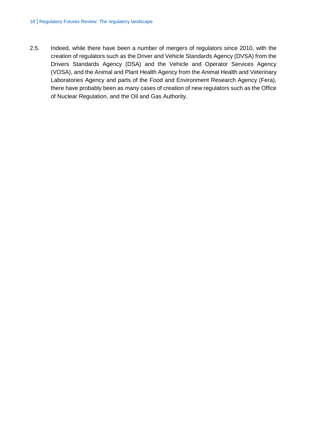2.5. Indeed, while there have been a number of mergers of regulators since 2010, with the creation of regulators such as the Driver and Vehicle Standards Agency (DVSA) from the Drivers Standards Agency (DSA) and the Vehicle and Operator Services Agency (VOSA), and the Animal and Plant Health Agency from the Animal Health and Veterinary Laboratories Agency and parts of the Food and Environment Research Agency (Fera), there have probably been as many cases of creation of new regulators such as the Office of Nuclear Regulation, and the Oil and Gas Authority.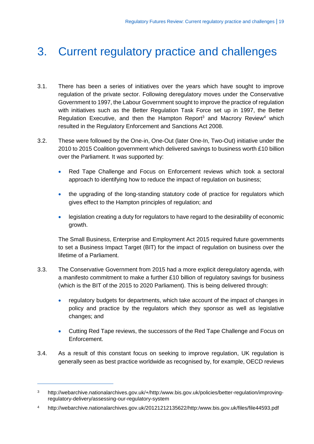# <span id="page-22-0"></span>3. Current regulatory practice and challenges

- 3.1. There has been a series of initiatives over the years which have sought to improve regulation of the private sector. Following deregulatory moves under the Conservative Government to 1997, the Labour Government sought to improve the practice of regulation with initiatives such as the Better Regulation Task Force set up in 1997, the Better Regulation Executive, and then the Hampton Report<sup>3</sup> and Macrory Review<sup>4</sup> which resulted in the Regulatory Enforcement and Sanctions Act 2008.
- 3.2. These were followed by the One-in, One-Out (later One-In, Two-Out) initiative under the 2010 to 2015 Coalition government which delivered savings to business worth £10 billion over the Parliament. It was supported by:
	- Red Tape Challenge and Focus on Enforcement reviews which took a sectoral approach to identifying how to reduce the impact of regulation on business;
	- the upgrading of the long-standing statutory code of practice for regulators which gives effect to the Hampton principles of regulation; and
	- legislation creating a duty for regulators to have regard to the desirability of economic growth.

The Small Business, Enterprise and Employment Act 2015 required future governments to set a Business Impact Target (BIT) for the impact of regulation on business over the lifetime of a Parliament.

- 3.3. The Conservative Government from 2015 had a more explicit deregulatory agenda, with a manifesto commitment to make a further £10 billion of regulatory savings for business (which is the BIT of the 2015 to 2020 Parliament). This is being delivered through:
	- regulatory budgets for departments, which take account of the impact of changes in policy and practice by the regulators which they sponsor as well as legislative changes; and
	- Cutting Red Tape reviews, the successors of the Red Tape Challenge and Focus on Enforcement.
- 3.4. As a result of this constant focus on seeking to improve regulation, UK regulation is generally seen as best practice worldwide as recognised by, for example, OECD reviews

 $\overline{a}$ 

<sup>3</sup> http://webarchive.nationalarchives.gov.uk/+/http:/www.bis.gov.uk/policies/better-regulation/improvingregulatory-delivery/assessing-our-regulatory-system

<sup>4</sup> http://webarchive.nationalarchives.gov.uk/20121212135622/http:/www.bis.gov.uk/files/file44593.pdf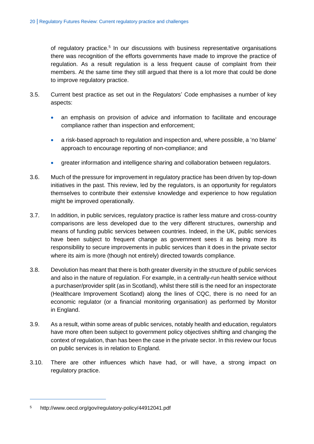of regulatory practice.<sup>5</sup> In our discussions with business representative organisations there was recognition of the efforts governments have made to improve the practice of regulation. As a result regulation is a less frequent cause of complaint from their members. At the same time they still argued that there is a lot more that could be done to improve regulatory practice.

- 3.5. Current best practice as set out in the Regulators' Code emphasises a number of key aspects:
	- an emphasis on provision of advice and information to facilitate and encourage compliance rather than inspection and enforcement;
	- a risk-based approach to regulation and inspection and, where possible, a 'no blame' approach to encourage reporting of non-compliance; and
	- **•** greater information and intelligence sharing and collaboration between regulators.
- 3.6. Much of the pressure for improvement in regulatory practice has been driven by top-down initiatives in the past. This review, led by the regulators, is an opportunity for regulators themselves to contribute their extensive knowledge and experience to how regulation might be improved operationally.
- 3.7. In addition, in public services, regulatory practice is rather less mature and cross-country comparisons are less developed due to the very different structures, ownership and means of funding public services between countries. Indeed, in the UK, public services have been subject to frequent change as government sees it as being more its responsibility to secure improvements in public services than it does in the private sector where its aim is more (though not entirely) directed towards compliance.
- 3.8. Devolution has meant that there is both greater diversity in the structure of public services and also in the nature of regulation. For example, in a centrally-run health service without a purchaser/provider split (as in Scotland), whilst there still is the need for an inspectorate (Healthcare Improvement Scotland) along the lines of CQC, there is no need for an economic regulator (or a financial monitoring organisation) as performed by Monitor in England.
- 3.9. As a result, within some areas of public services, notably health and education, regulators have more often been subject to government policy objectives shifting and changing the context of regulation, than has been the case in the private sector. In this review our focus on public services is in relation to England.
- 3.10. There are other influences which have had, or will have, a strong impact on regulatory practice.

 $\overline{a}$ 

<sup>5</sup> http://www.oecd.org/gov/regulatory-policy/44912041.pdf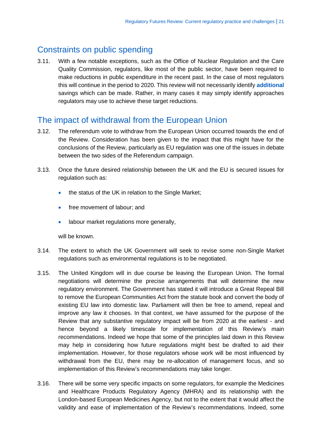# Constraints on public spending

3.11. With a few notable exceptions, such as the Office of Nuclear Regulation and the Care Quality Commission, regulators, like most of the public sector, have been required to make reductions in public expenditure in the recent past. In the case of most regulators this will continue in the period to 2020. This review will not necessarily identify **additional** savings which can be made. Rather, in many cases it may simply identify approaches regulators may use to achieve these target reductions.

# The impact of withdrawal from the European Union

- 3.12. The referendum vote to withdraw from the European Union occurred towards the end of the Review. Consideration has been given to the impact that this might have for the conclusions of the Review, particularly as EU regulation was one of the issues in debate between the two sides of the Referendum campaign.
- 3.13. Once the future desired relationship between the UK and the EU is secured issues for regulation such as:
	- the status of the UK in relation to the Single Market;
	- free movement of labour; and
	- labour market regulations more generally,

will be known.

- 3.14. The extent to which the UK Government will seek to revise some non-Single Market regulations such as environmental regulations is to be negotiated.
- 3.15. The United Kingdom will in due course be leaving the European Union. The formal negotiations will determine the precise arrangements that will determine the new regulatory environment. The Government has stated it will introduce a Great Repeal Bill to remove the European Communities Act from the statute book and convert the body of existing EU law into domestic law. Parliament will then be free to amend, repeal and improve any law it chooses. In that context, we have assumed for the purpose of the Review that any substantive regulatory impact will be from 2020 at the earliest - and hence beyond a likely timescale for implementation of this Review's main recommendations. Indeed we hope that some of the principles laid down in this Review may help in considering how future regulations might best be drafted to aid their implementation. However, for those regulators whose work will be most influenced by withdrawal from the EU, there may be re-allocation of management focus, and so implementation of this Review's recommendations may take longer.
- 3.16. There will be some very specific impacts on some regulators, for example the Medicines and Healthcare Products Regulatory Agency (MHRA) and its relationship with the London-based European Medicines Agency, but not to the extent that it would affect the validity and ease of implementation of the Review's recommendations. Indeed, some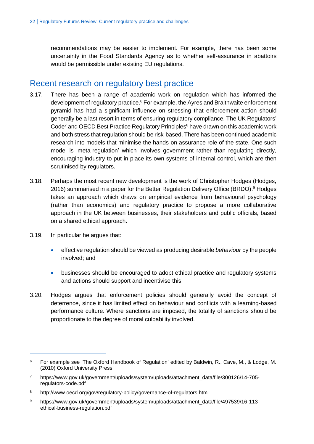recommendations may be easier to implement. For example, there has been some uncertainty in the Food Standards Agency as to whether self-assurance in abattoirs would be permissible under existing EU regulations.

### Recent research on regulatory best practice

- 3.17. There has been a range of academic work on regulation which has informed the development of regulatory practice. <sup>6</sup> For example, the Ayres and Braithwaite enforcement pyramid has had a significant influence on stressing that enforcement action should generally be a last resort in terms of ensuring regulatory compliance. The UK Regulators' Code<sup>7</sup> and OECD Best Practice Regulatory Principles<sup>8</sup> have drawn on this academic work and both stress that regulation should be risk-based. There has been continued academic research into models that minimise the hands-on assurance role of the state. One such model is 'meta-regulation' which involves government rather than regulating directly, encouraging industry to put in place its own systems of internal control, which are then scrutinised by regulators.
- 3.18. Perhaps the most recent new development is the work of Christopher Hodges (Hodges, 2016) summarised in a paper for the Better Regulation Delivery Office (BRDO).<sup>9</sup> Hodges takes an approach which draws on empirical evidence from behavioural psychology (rather than economics) and regulatory practice to propose a more collaborative approach in the UK between businesses, their stakeholders and public officials, based on a shared ethical approach.
- 3.19. In particular he argues that:

 $\overline{a}$ 

- effective regulation should be viewed as producing desirable *behaviour* by the people involved; and
- businesses should be encouraged to adopt ethical practice and regulatory systems and actions should support and incentivise this.
- 3.20. Hodges argues that enforcement policies should generally avoid the concept of deterrence, since it has limited effect on behaviour and conflicts with a learning-based performance culture. Where sanctions are imposed, the totality of sanctions should be proportionate to the degree of moral culpability involved.

<sup>6</sup> For example see 'The Oxford Handbook of Regulation' edited by Baldwin, R., Cave, M., & Lodge, M. (2010) Oxford University Press

<sup>7</sup> https://www.gov.uk/government/uploads/system/uploads/attachment\_data/file/300126/14-705 regulators-code.pdf

<sup>8</sup> http://www.oecd.org/gov/regulatory-policy/governance-of-regulators.htm

<sup>9</sup> https://www.gov.uk/government/uploads/system/uploads/attachment\_data/file/497539/16-113ethical-business-regulation.pdf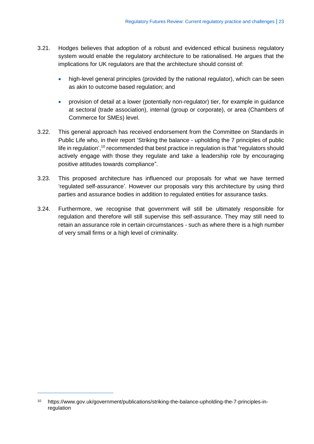- 3.21. Hodges believes that adoption of a robust and evidenced ethical business regulatory system would enable the regulatory architecture to be rationalised. He argues that the implications for UK regulators are that the architecture should consist of:
	- high-level general principles (provided by the national regulator), which can be seen as akin to outcome based regulation; and
	- provision of detail at a lower (potentially non-regulator) tier, for example in guidance at sectoral (trade association), internal (group or corporate), or area (Chambers of Commerce for SMEs) level.
- 3.22. This general approach has received endorsement from the Committee on Standards in Public Life who, in their report 'Striking the balance - upholding the 7 principles of public life in regulation',<sup>10</sup> recommended that best practice in regulation is that "regulators should actively engage with those they regulate and take a leadership role by encouraging positive attitudes towards compliance".
- 3.23. This proposed architecture has influenced our proposals for what we have termed 'regulated self-assurance'. However our proposals vary this architecture by using third parties and assurance bodies in addition to regulated entities for assurance tasks.
- 3.24. Furthermore, we recognise that government will still be ultimately responsible for regulation and therefore will still supervise this self-assurance. They may still need to retain an assurance role in certain circumstances - such as where there is a high number of very small firms or a high level of criminality.

 $\overline{a}$ 

<sup>10</sup> https://www.gov.uk/government/publications/striking-the-balance-upholding-the-7-principles-inregulation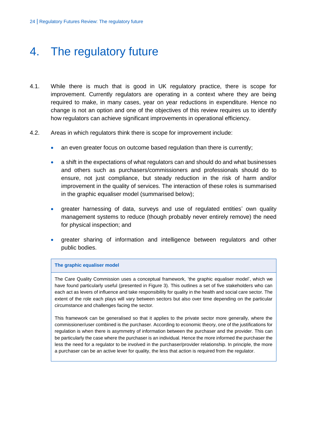# <span id="page-27-0"></span>4. The regulatory future

- 4.1. While there is much that is good in UK regulatory practice, there is scope for improvement. Currently regulators are operating in a context where they are being required to make, in many cases, year on year reductions in expenditure. Hence no change is not an option and one of the objectives of this review requires us to identify how regulators can achieve significant improvements in operational efficiency.
- 4.2. Areas in which regulators think there is scope for improvement include:
	- an even greater focus on outcome based regulation than there is currently;
	- a shift in the expectations of what regulators can and should do and what businesses and others such as purchasers/commissioners and professionals should do to ensure, not just compliance, but steady reduction in the risk of harm and/or improvement in the quality of services. The interaction of these roles is summarised in the graphic equaliser model (summarised below);
	- greater harnessing of data, surveys and use of regulated entities' own quality management systems to reduce (though probably never entirely remove) the need for physical inspection; and
	- greater sharing of information and intelligence between regulators and other public bodies.

#### **The graphic equaliser model**

The Care Quality Commission uses a conceptual framework, 'the graphic equaliser model', which we have found particularly useful (presented in Figure 3). This outlines a set of five stakeholders who can each act as levers of influence and take responsibility for quality in the health and social care sector. The extent of the role each plays will vary between sectors but also over time depending on the particular circumstance and challenges facing the sector.

This framework can be generalised so that it applies to the private sector more generally, where the commissioner/user combined is the purchaser. According to economic theory, one of the justifications for regulation is when there is asymmetry of information between the purchaser and the provider. This can be particularly the case where the purchaser is an individual. Hence the more informed the purchaser the less the need for a regulator to be involved in the purchaser/provider relationship. In principle, the more a purchaser can be an active lever for quality, the less that action is required from the regulator.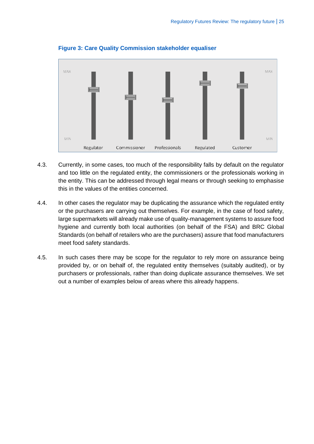<span id="page-28-0"></span>

**Figure 3: Care Quality Commission stakeholder equaliser**

- 4.3. Currently, in some cases, too much of the responsibility falls by default on the regulator and too little on the regulated entity, the commissioners or the professionals working in the entity. This can be addressed through legal means or through seeking to emphasise this in the values of the entities concerned.
- 4.4. In other cases the regulator may be duplicating the assurance which the regulated entity or the purchasers are carrying out themselves. For example, in the case of food safety, large supermarkets will already make use of quality-management systems to assure food hygiene and currently both local authorities (on behalf of the FSA) and BRC Global Standards (on behalf of retailers who are the purchasers) assure that food manufacturers meet food safety standards.
- 4.5. In such cases there may be scope for the regulator to rely more on assurance being provided by, or on behalf of, the regulated entity themselves (suitably audited), or by purchasers or professionals, rather than doing duplicate assurance themselves. We set out a number of examples below of areas where this already happens.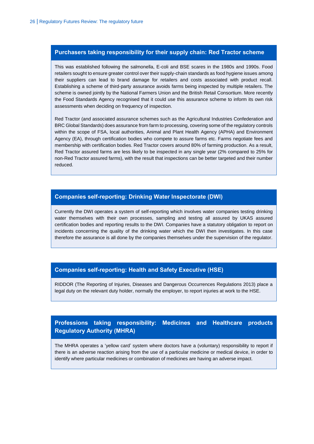#### **Purchasers taking responsibility for their supply chain: Red Tractor scheme**

This was established following the salmonella, E-coli and BSE scares in the 1980s and 1990s. Food retailers sought to ensure greater control over their supply-chain standards as food hygiene issues among their suppliers can lead to brand damage for retailers and costs associated with product recall. Establishing a scheme of third-party assurance avoids farms being inspected by multiple retailers. The scheme is owned jointly by the National Farmers Union and the British Retail Consortium. More recently the Food Standards Agency recognised that it could use this assurance scheme to inform its own risk assessments when deciding on frequency of inspection.

Red Tractor (and associated assurance schemes such as the Agricultural Industries Confederation and BRC Global Standards) does assurance from farm to processing, covering some of the regulatory controls within the scope of FSA, local authorities, Animal and Plant Health Agency (APHA) and Environment Agency (EA), through certification bodies who compete to assure farms etc. Farms negotiate fees and membership with certification bodies. Red Tractor covers around 80% of farming production. As a result, Red Tractor assured farms are less likely to be inspected in any single year (2% compared to 25% for non-Red Tractor assured farms), with the result that inspections can be better targeted and their number reduced.

#### **Companies self-reporting: Drinking Water Inspectorate (DWI)**

Currently the DWI operates a system of self-reporting which involves water companies testing drinking water themselves with their own processes, sampling and testing all assured by UKAS assured certification bodies and reporting results to the DWI. Companies have a statutory obligation to report on incidents concerning the quality of the drinking water which the DWI then investigates. In this case therefore the assurance is all done by the companies themselves under the supervision of the regulator.

#### **Companies self-reporting: Health and Safety Executive (HSE)**

RIDDOR (The Reporting of Injuries, Diseases and Dangerous Occurrences Regulations 2013) place a legal duty on the relevant duty holder, normally the employer, to report injuries at work to the HSE.

#### **Professions taking responsibility: Medicines and Healthcare products Regulatory Authority (MHRA)**

The MHRA operates a 'yellow card' system where doctors have a (voluntary) responsibility to report if there is an adverse reaction arising from the use of a particular medicine or medical device, in order to identify where particular medicines or combination of medicines are having an adverse impact.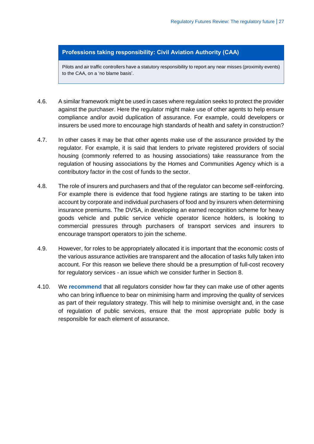#### **Professions taking responsibility: Civil Aviation Authority (CAA)**

Pilots and air traffic controllers have a statutory responsibility to report any near misses (proximity events) to the CAA, on a 'no blame basis'.

- 4.6. A similar framework might be used in cases where regulation seeks to protect the provider against the purchaser. Here the regulator might make use of other agents to help ensure compliance and/or avoid duplication of assurance. For example, could developers or insurers be used more to encourage high standards of health and safety in construction?
- 4.7. In other cases it may be that other agents make use of the assurance provided by the regulator. For example, it is said that lenders to private registered providers of social housing (commonly referred to as housing associations) take reassurance from the regulation of housing associations by the Homes and Communities Agency which is a contributory factor in the cost of funds to the sector.
- 4.8. The role of insurers and purchasers and that of the regulator can become self-reinforcing. For example there is evidence that food hygiene ratings are starting to be taken into account by corporate and individual purchasers of food and by insurers when determining insurance premiums. The DVSA, in developing an earned recognition scheme for heavy goods vehicle and public service vehicle operator licence holders, is looking to commercial pressures through purchasers of transport services and insurers to encourage transport operators to join the scheme.
- 4.9. However, for roles to be appropriately allocated it is important that the economic costs of the various assurance activities are transparent and the allocation of tasks fully taken into account. For this reason we believe there should be a presumption of full-cost recovery for regulatory services - an issue which we consider further in Section 8.
- 4.10. We **recommend** that all regulators consider how far they can make use of other agents who can bring influence to bear on minimising harm and improving the quality of services as part of their regulatory strategy. This will help to minimise oversight and, in the case of regulation of public services, ensure that the most appropriate public body is responsible for each element of assurance.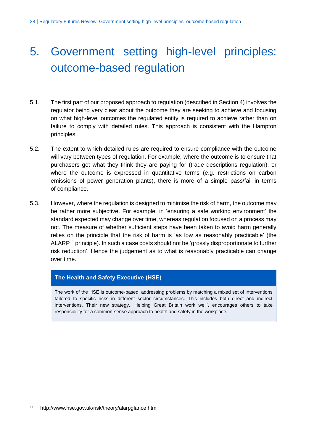# <span id="page-31-0"></span>5. Government setting high-level principles: outcome-based regulation

- 5.1. The first part of our proposed approach to regulation (described in Section 4) involves the regulator being very clear about the outcome they are seeking to achieve and focusing on what high-level outcomes the regulated entity is required to achieve rather than on failure to comply with detailed rules. This approach is consistent with the Hampton principles.
- 5.2. The extent to which detailed rules are required to ensure compliance with the outcome will vary between types of regulation. For example, where the outcome is to ensure that purchasers get what they think they are paying for (trade descriptions regulation), or where the outcome is expressed in quantitative terms (e.g. restrictions on carbon emissions of power generation plants), there is more of a simple pass/fail in terms of compliance.
- 5.3. However, where the regulation is designed to minimise the risk of harm, the outcome may be rather more subjective. For example, in 'ensuring a safe working environment' the standard expected may change over time, whereas regulation focused on a process may not. The measure of whether sufficient steps have been taken to avoid harm generally relies on the principle that the risk of harm is 'as low as reasonably practicable' (the ALARP<sup>11</sup> principle). In such a case costs should not be 'grossly disproportionate to further risk reduction'. Hence the judgement as to what is reasonably practicable can change over time.

#### **The Health and Safety Executive (HSE)**

The work of the HSE is outcome-based, addressing problems by matching a mixed set of interventions tailored to specific risks in different sector circumstances. This includes both direct and indirect interventions. Their new strategy, 'Helping Great Britain work well', encourages others to take responsibility for a common-sense approach to health and safety in the workplace.

 $\overline{a}$ 

<sup>11</sup> <http://www.hse.gov.uk/risk/theory/alarpglance.htm>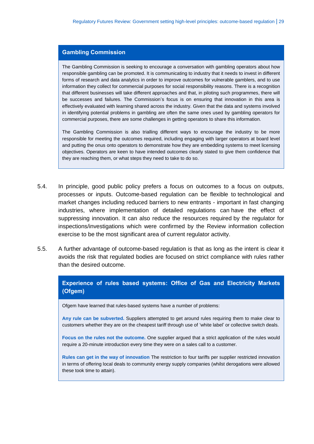#### **Gambling Commission**

The Gambling Commission is seeking to encourage a conversation with gambling operators about how responsible gambling can be promoted. It is communicating to industry that it needs to invest in different forms of research and data analytics in order to improve outcomes for vulnerable gamblers, and to use information they collect for commercial purposes for social responsibility reasons. There is a recognition that different businesses will take different approaches and that, in piloting such programmes, there will be successes and failures. The Commission's focus is on ensuring that innovation in this area is effectively evaluated with learning shared across the industry. Given that the data and systems involved in identifying potential problems in gambling are often the same ones used by gambling operators for commercial purposes, there are some challenges in getting operators to share this information.

The Gambling Commission is also trialling different ways to encourage the industry to be more responsible for meeting the outcomes required, including engaging with larger operators at board level and putting the onus onto operators to demonstrate how they are embedding systems to meet licensing objectives. Operators are keen to have intended outcomes clearly stated to give them confidence that they are reaching them, or what steps they need to take to do so.

- 5.4. In principle, good public policy prefers a focus on outcomes to a focus on outputs, processes or inputs. Outcome-based regulation can be flexible to technological and market changes including reduced barriers to new entrants - important in fast changing industries, where implementation of detailed regulations can have the effect of suppressing innovation. It can also reduce the resources required by the regulator for inspections/investigations which were confirmed by the Review information collection exercise to be the most significant area of current regulator activity.
- 5.5. A further advantage of outcome-based regulation is that as long as the intent is clear it avoids the risk that regulated bodies are focused on strict compliance with rules rather than the desired outcome.

#### **Experience of rules based systems: Office of Gas and Electricity Markets (Ofgem)**

Ofgem have learned that rules-based systems have a number of problems:

**Any rule can be subverted.** Suppliers attempted to get around rules requiring them to make clear to customers whether they are on the cheapest tariff through use of 'white label' or collective switch deals.

**Focus on the rules not the outcome.** One supplier argued that a strict application of the rules would require a 20-minute introduction every time they were on a sales call to a customer.

**Rules can get in the way of innovation** The restriction to four tariffs per supplier restricted innovation in terms of offering local deals to community energy supply companies (whilst derogations were allowed these took time to attain).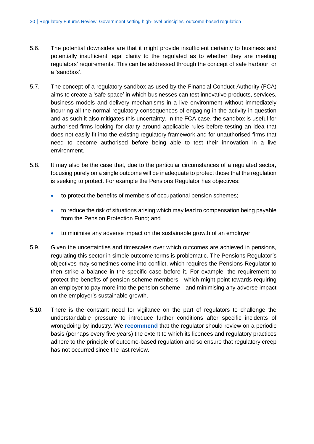- 5.6. The potential downsides are that it might provide insufficient certainty to business and potentially insufficient legal clarity to the regulated as to whether they are meeting regulators' requirements. This can be addressed through the concept of safe harbour, or a 'sandbox'.
- 5.7. The concept of a regulatory sandbox as used by the Financial Conduct Authority (FCA) aims to create a 'safe space' in which businesses can test innovative products, services, business models and delivery mechanisms in a live environment without immediately incurring all the normal regulatory consequences of engaging in the activity in question and as such it also mitigates this uncertainty. In the FCA case, the sandbox is useful for authorised firms looking for clarity around applicable rules before testing an idea that does not easily fit into the existing regulatory framework and for unauthorised firms that need to become authorised before being able to test their innovation in a live environment.
- 5.8. It may also be the case that, due to the particular circumstances of a regulated sector, focusing purely on a single outcome will be inadequate to protect those that the regulation is seeking to protect. For example the Pensions Regulator has objectives:
	- to protect the benefits of members of occupational pension schemes;
	- to reduce the risk of situations arising which may lead to compensation being payable from the Pension Protection Fund; and
	- to minimise any adverse impact on the sustainable growth of an employer.
- 5.9. Given the uncertainties and timescales over which outcomes are achieved in pensions, regulating this sector in simple outcome terms is problematic. The Pensions Regulator's objectives may sometimes come into conflict, which requires the Pensions Regulator to then strike a balance in the specific case before it. For example, the requirement to protect the benefits of pension scheme members - which might point towards requiring an employer to pay more into the pension scheme - and minimising any adverse impact on the employer's sustainable growth.
- 5.10. There is the constant need for vigilance on the part of regulators to challenge the understandable pressure to introduce further conditions after specific incidents of wrongdoing by industry. We **recommend** that the regulator should review on a periodic basis (perhaps every five years) the extent to which its licences and regulatory practices adhere to the principle of outcome-based regulation and so ensure that regulatory creep has not occurred since the last review.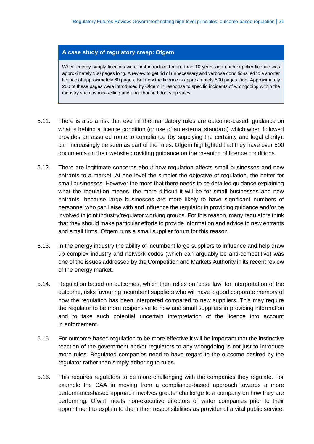#### **A case study of regulatory creep: Ofgem**

When energy supply licences were first introduced more than 10 years ago each supplier licence was approximately 160 pages long. A review to get rid of unnecessary and verbose conditions led to a shorter licence of approximately 60 pages. But now the licence is approximately 500 pages long! Approximately 200 of these pages were introduced by Ofgem in response to specific incidents of wrongdoing within the industry such as mis-selling and unauthorised doorstep sales.

- 5.11. There is also a risk that even if the mandatory rules are outcome-based, guidance on what is behind a licence condition (or use of an external standard) which when followed provides an assured route to compliance (by supplying the certainty and legal clarity), can increasingly be seen as part of the rules. Ofgem highlighted that they have over 500 documents on their website providing guidance on the meaning of licence conditions.
- 5.12. There are legitimate concerns about how regulation affects small businesses and new entrants to a market. At one level the simpler the objective of regulation, the better for small businesses. However the more that there needs to be detailed guidance explaining what the regulation means, the more difficult it will be for small businesses and new entrants, because large businesses are more likely to have significant numbers of personnel who can liaise with and influence the regulator in providing guidance and/or be involved in joint industry/regulator working groups. For this reason, many regulators think that they should make particular efforts to provide information and advice to new entrants and small firms. Ofgem runs a small supplier forum for this reason.
- 5.13. In the energy industry the ability of incumbent large suppliers to influence and help draw up complex industry and network codes (which can arguably be anti-competitive) was one of the issues addressed by the Competition and Markets Authority in its recent review of the energy market.
- 5.14. Regulation based on outcomes, which then relies on 'case law' for interpretation of the outcome, risks favouring incumbent suppliers who will have a good corporate memory of how the regulation has been interpreted compared to new suppliers. This may require the regulator to be more responsive to new and small suppliers in providing information and to take such potential uncertain interpretation of the licence into account in enforcement.
- 5.15. For outcome-based regulation to be more effective it will be important that the instinctive reaction of the government and/or regulators to any wrongdoing is not just to introduce more rules. Regulated companies need to have regard to the outcome desired by the regulator rather than simply adhering to rules.
- 5.16. This requires regulators to be more challenging with the companies they regulate. For example the CAA in moving from a compliance-based approach towards a more performance-based approach involves greater challenge to a company on how they are performing. Ofwat meets non-executive directors of water companies prior to their appointment to explain to them their responsibilities as provider of a vital public service.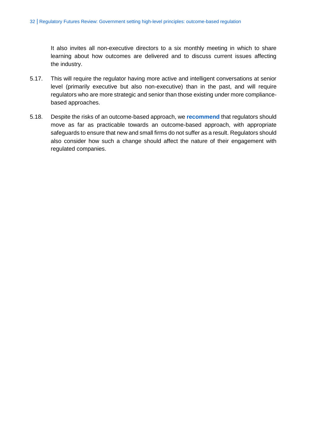It also invites all non-executive directors to a six monthly meeting in which to share learning about how outcomes are delivered and to discuss current issues affecting the industry.

- 5.17. This will require the regulator having more active and intelligent conversations at senior level (primarily executive but also non-executive) than in the past, and will require regulators who are more strategic and senior than those existing under more compliancebased approaches.
- 5.18. Despite the risks of an outcome-based approach, we **recommend** that regulators should move as far as practicable towards an outcome-based approach, with appropriate safeguards to ensure that new and small firms do not suffer as a result. Regulators should also consider how such a change should affect the nature of their engagement with regulated companies.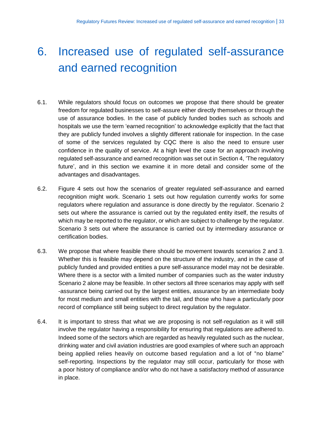# 6. Increased use of regulated self-assurance and earned recognition

- 6.1. While regulators should focus on outcomes we propose that there should be greater freedom for regulated businesses to self-assure either directly themselves or through the use of assurance bodies. In the case of publicly funded bodies such as schools and hospitals we use the term 'earned recognition' to acknowledge explicitly that the fact that they are publicly funded involves a slightly different rationale for inspection. In the case of some of the services regulated by CQC there is also the need to ensure user confidence in the quality of service. At a high level the case for an approach involving regulated self-assurance and earned recognition was set out in Section 4, 'The regulatory future', and in this section we examine it in more detail and consider some of the advantages and disadvantages.
- 6.2. Figure 4 sets out how the scenarios of greater regulated self-assurance and earned recognition might work. Scenario 1 sets out how regulation currently works for some regulators where regulation and assurance is done directly by the regulator. Scenario 2 sets out where the assurance is carried out by the regulated entity itself, the results of which may be reported to the regulator, or which are subject to challenge by the regulator. Scenario 3 sets out where the assurance is carried out by intermediary assurance or certification bodies.
- 6.3. We propose that where feasible there should be movement towards scenarios 2 and 3. Whether this is feasible may depend on the structure of the industry, and in the case of publicly funded and provided entities a pure self-assurance model may not be desirable. Where there is a sector with a limited number of companies such as the water industry Scenario 2 alone may be feasible. In other sectors all three scenarios may apply with self -assurance being carried out by the largest entities, assurance by an intermediate body for most medium and small entities with the tail, and those who have a particularly poor record of compliance still being subject to direct regulation by the regulator.
- 6.4. It is important to stress that what we are proposing is not self-regulation as it will still involve the regulator having a responsibility for ensuring that regulations are adhered to. Indeed some of the sectors which are regarded as heavily regulated such as the nuclear, drinking water and civil aviation industries are good examples of where such an approach being applied relies heavily on outcome based regulation and a lot of "no blame" self-reporting. Inspections by the regulator may still occur, particularly for those with a poor history of compliance and/or who do not have a satisfactory method of assurance in place.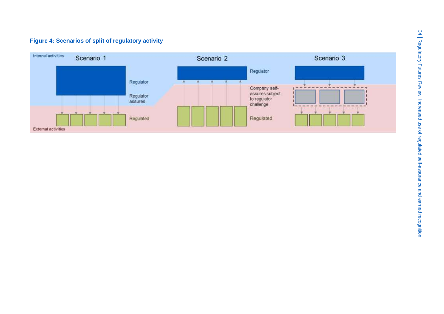## **Figure 4: Scenarios of split of regulatory activity**

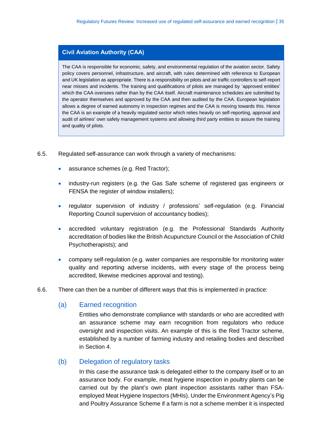### **Civil Aviation Authority (CAA)**

The CAA is responsible for economic, safety, and environmental regulation of the aviation sector. Safety policy covers personnel, infrastructure, and aircraft, with rules determined with reference to European and UK legislation as appropriate. There is a responsibility on pilots and air traffic controllers to self-report near misses and incidents. The training and qualifications of pilots are managed by 'approved entities' which the CAA oversees rather than by the CAA itself. Aircraft maintenance schedules are submitted by the operator themselves and approved by the CAA and then audited by the CAA. European legislation allows a degree of earned autonomy in inspection regimes and the CAA is moving towards this. Hence the CAA is an example of a heavily regulated sector which relies heavily on self-reporting, approval and audit of airlines' own safety management systems and allowing third party entities to assure the training and quality of pilots.

- 6.5. Regulated self-assurance can work through a variety of mechanisms:
	- assurance schemes (e.g. Red Tractor);
	- industry-run registers (e.g. the Gas Safe scheme of registered gas engineers or FENSA the register of window installers);
	- regulator supervision of industry / professions' self-regulation (e.g. Financial Reporting Council supervision of accountancy bodies);
	- accredited voluntary registration (e.g. the Professional Standards Authority accreditation of bodies like the British Acupuncture Council or the Association of Child Psychotherapists); and
	- company self-regulation (e.g. water companies are responsible for monitoring water quality and reporting adverse incidents, with every stage of the process being accredited, likewise medicines approval and testing).
- 6.6. There can then be a number of different ways that this is implemented in practice:

### (a) Earned recognition

Entities who demonstrate compliance with standards or who are accredited with an assurance scheme may earn recognition from regulators who reduce oversight and inspection visits. An example of this is the Red Tractor scheme, established by a number of farming industry and retailing bodies and described in Section 4.

### (b) Delegation of regulatory tasks

In this case the assurance task is delegated either to the company itself or to an assurance body. For example, meat hygiene inspection in poultry plants can be carried out by the plant's own plant inspection assistants rather than FSAemployed Meat Hygiene Inspectors (MHIs). Under the Environment Agency's Pig and Poultry Assurance Scheme if a farm is not a scheme member it is inspected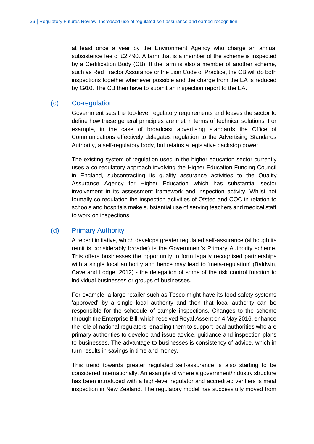at least once a year by the Environment Agency who charge an annual subsistence fee of £2,490. A farm that is a member of the scheme is inspected by a Certification Body (CB). If the farm is also a member of another scheme, such as Red Tractor Assurance or the Lion Code of Practice, the CB will do both inspections together whenever possible and the charge from the EA is reduced by £910. The CB then have to submit an inspection report to the EA.

### (c) Co-regulation

Government sets the top-level regulatory requirements and leaves the sector to define how these general principles are met in terms of technical solutions. For example, in the case of broadcast advertising standards the Office of Communications effectively delegates regulation to the Advertising Standards Authority, a self-regulatory body, but retains a legislative backstop power.

The existing system of regulation used in the higher education sector currently uses a co-regulatory approach involving the Higher Education Funding Council in England, subcontracting its quality assurance activities to the Quality Assurance Agency for Higher Education which has substantial sector involvement in its assessment framework and inspection activity. Whilst not formally co-regulation the inspection activities of Ofsted and CQC in relation to schools and hospitals make substantial use of serving teachers and medical staff to work on inspections.

### (d) Primary Authority

A recent initiative, which develops greater regulated self-assurance (although its remit is considerably broader) is the Government's Primary Authority scheme. This offers businesses the opportunity to form legally recognised partnerships with a single local authority and hence may lead to 'meta-regulation' (Baldwin, Cave and Lodge, 2012) - the delegation of some of the risk control function to individual businesses or groups of businesses.

For example, a large retailer such as Tesco might have its food safety systems 'approved' by a single local authority and then that local authority can be responsible for the schedule of sample inspections. Changes to the scheme through the Enterprise Bill, which received Royal Assent on 4 May 2016, enhance the role of national regulators, enabling them to support local authorities who are primary authorities to develop and issue advice, guidance and inspection plans to businesses. The advantage to businesses is consistency of advice, which in turn results in savings in time and money.

This trend towards greater regulated self-assurance is also starting to be considered internationally. An example of where a government/industry structure has been introduced with a high-level regulator and accredited verifiers is meat inspection in New Zealand. The regulatory model has successfully moved from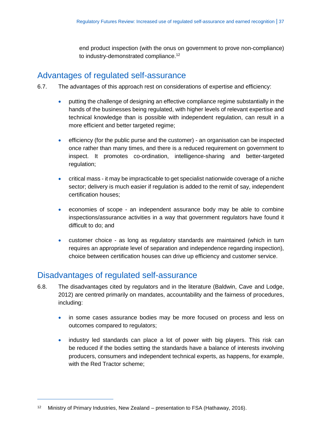end product inspection (with the onus on government to prove non-compliance) to industry-demonstrated compliance.<sup>12</sup>

## Advantages of regulated self-assurance

- 6.7. The advantages of this approach rest on considerations of expertise and efficiency:
	- putting the challenge of designing an effective compliance regime substantially in the hands of the businesses being regulated, with higher levels of relevant expertise and technical knowledge than is possible with independent regulation, can result in a more efficient and better targeted regime;
	- efficiency (for the public purse and the customer) an organisation can be inspected once rather than many times, and there is a reduced requirement on government to inspect. It promotes co-ordination, intelligence-sharing and better-targeted regulation;
	- critical mass it may be impracticable to get specialist nationwide coverage of a niche sector; delivery is much easier if regulation is added to the remit of say, independent certification houses;
	- economies of scope an independent assurance body may be able to combine inspections/assurance activities in a way that government regulators have found it difficult to do; and
	- customer choice as long as regulatory standards are maintained (which in turn requires an appropriate level of separation and independence regarding inspection), choice between certification houses can drive up efficiency and customer service.

## Disadvantages of regulated self-assurance

 $\overline{a}$ 

- 6.8. The disadvantages cited by regulators and in the literature (Baldwin, Cave and Lodge, 2012) are centred primarily on mandates, accountability and the fairness of procedures, including:
	- in some cases assurance bodies may be more focused on process and less on outcomes compared to regulators;
	- industry led standards can place a lot of power with big players. This risk can be reduced if the bodies setting the standards have a balance of interests involving producers, consumers and independent technical experts, as happens, for example, with the Red Tractor scheme;

<sup>12</sup> Ministry of Primary Industries, New Zealand – presentation to FSA (Hathaway, 2016).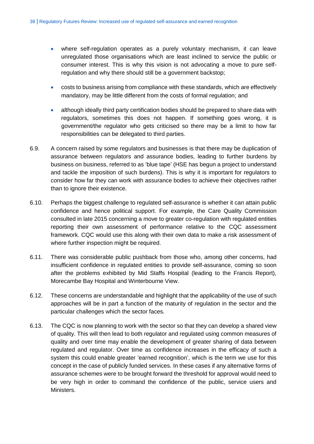- where self-regulation operates as a purely voluntary mechanism, it can leave unregulated those organisations which are least inclined to service the public or consumer interest. This is why this vision is not advocating a move to pure selfregulation and why there should still be a government backstop;
- costs to business arising from compliance with these standards, which are effectively mandatory, may be little different from the costs of formal regulation; and
- although ideally third party certification bodies should be prepared to share data with regulators, sometimes this does not happen. If something goes wrong, it is government/the regulator who gets criticised so there may be a limit to how far responsibilities can be delegated to third parties.
- 6.9. A concern raised by some regulators and businesses is that there may be duplication of assurance between regulators and assurance bodies, leading to further burdens by business on business, referred to as 'blue tape' (HSE has begun a project to understand and tackle the imposition of such burdens). This is why it is important for regulators to consider how far they can work with assurance bodies to achieve their objectives rather than to ignore their existence.
- 6.10. Perhaps the biggest challenge to regulated self-assurance is whether it can attain public confidence and hence political support. For example, the Care Quality Commission consulted in late 2015 concerning a move to greater co-regulation with regulated entities reporting their own assessment of performance relative to the CQC assessment framework. CQC would use this along with their own data to make a risk assessment of where further inspection might be required.
- 6.11. There was considerable public pushback from those who, among other concerns, had insufficient confidence in regulated entities to provide self-assurance, coming so soon after the problems exhibited by Mid Staffs Hospital (leading to the Francis Report), Morecambe Bay Hospital and Winterbourne View.
- 6.12. These concerns are understandable and highlight that the applicability of the use of such approaches will be in part a function of the maturity of regulation in the sector and the particular challenges which the sector faces.
- 6.13. The CQC is now planning to work with the sector so that they can develop a shared view of quality. This will then lead to both regulator and regulated using common measures of quality and over time may enable the development of greater sharing of data between regulated and regulator. Over time as confidence increases in the efficacy of such a system this could enable greater 'earned recognition', which is the term we use for this concept in the case of publicly funded services. In these cases if any alternative forms of assurance schemes were to be brought forward the threshold for approval would need to be very high in order to command the confidence of the public, service users and Ministers.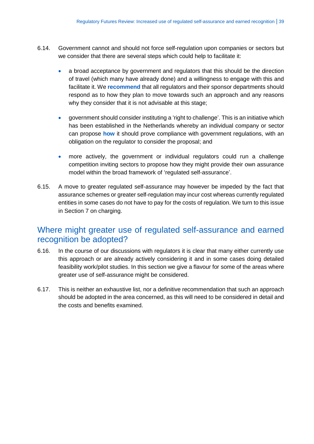- 6.14. Government cannot and should not force self-regulation upon companies or sectors but we consider that there are several steps which could help to facilitate it:
	- a broad acceptance by government and regulators that this should be the direction of travel (which many have already done) and a willingness to engage with this and facilitate it. We **recommend** that all regulators and their sponsor departments should respond as to how they plan to move towards such an approach and any reasons why they consider that it is not advisable at this stage;
	- government should consider instituting a 'right to challenge'. This is an initiative which has been established in the Netherlands whereby an individual company or sector can propose **how** it should prove compliance with government regulations, with an obligation on the regulator to consider the proposal; and
	- more actively, the government or individual regulators could run a challenge competition inviting sectors to propose how they might provide their own assurance model within the broad framework of 'regulated self-assurance'.
- 6.15. A move to greater regulated self-assurance may however be impeded by the fact that assurance schemes or greater self-regulation may incur cost whereas currently regulated entities in some cases do not have to pay for the costs of regulation. We turn to this issue in Section 7 on charging.

## Where might greater use of regulated self-assurance and earned recognition be adopted?

- 6.16. In the course of our discussions with regulators it is clear that many either currently use this approach or are already actively considering it and in some cases doing detailed feasibility work/pilot studies. In this section we give a flavour for some of the areas where greater use of self-assurance might be considered.
- 6.17. This is neither an exhaustive list, nor a definitive recommendation that such an approach should be adopted in the area concerned, as this will need to be considered in detail and the costs and benefits examined.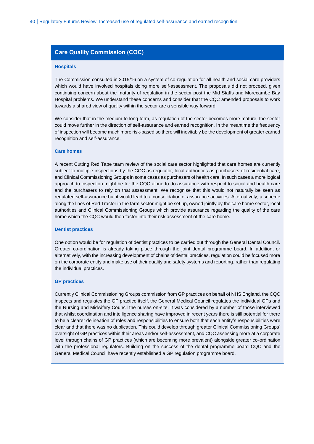### **Care Quality Commission (CQC)**

#### **Hospitals**

The Commission consulted in 2015/16 on a system of co-regulation for all health and social care providers which would have involved hospitals doing more self-assessment. The proposals did not proceed, given continuing concern about the maturity of regulation in the sector post the Mid Staffs and Morecambe Bay Hospital problems. We understand these concerns and consider that the CQC amended proposals to work towards a shared view of quality within the sector are a sensible way forward.

We consider that in the medium to long term, as regulation of the sector becomes more mature, the sector could move further in the direction of self-assurance and earned recognition. In the meantime the frequency of inspection will become much more risk-based so there will inevitably be the development of greater earned recognition and self-assurance.

#### **Care homes**

A recent Cutting Red Tape team review of the social care sector highlighted that care homes are currently subject to multiple inspections by the CQC as regulator, local authorities as purchasers of residential care, and Clinical Commissioning Groups in some cases as purchasers of health care. In such cases a more logical approach to inspection might be for the CQC alone to do assurance with respect to social and health care and the purchasers to rely on that assessment. We recognise that this would not naturally be seen as regulated self-assurance but it would lead to a consolidation of assurance activities. Alternatively, a scheme along the lines of Red Tractor in the farm sector might be set up, owned jointly by the care home sector, local authorities and Clinical Commissioning Groups which provide assurance regarding the quality of the care home which the CQC would then factor into their risk assessment of the care home.

#### **Dentist practices**

One option would be for regulation of dentist practices to be carried out through the General Dental Council. Greater co-ordination is already taking place through the joint dental programme board. In addition, or alternatively, with the increasing development of chains of dental practices, regulation could be focused more on the corporate entity and make use of their quality and safety systems and reporting, rather than regulating the individual practices.

#### **GP practices**

Currently Clinical Commissioning Groups commission from GP practices on behalf of NHS England, the CQC inspects and regulates the GP practice itself, the General Medical Council regulates the individual GPs and the Nursing and Midwifery Council the nurses on-site. It was considered by a number of those interviewed that whilst coordination and intelligence sharing have improved in recent years there is still potential for there to be a clearer delineation of roles and responsibilities to ensure both that each entity's responsibilities were clear and that there was no duplication. This could develop through greater Clinical Commissioning Groups' oversight of GP practices within their areas and/or self-assessment, and CQC assessing more at a corporate level through chains of GP practices (which are becoming more prevalent) alongside greater co-ordination with the professional regulators. Building on the success of the dental programme board CQC and the General Medical Council have recently established a GP regulation programme board.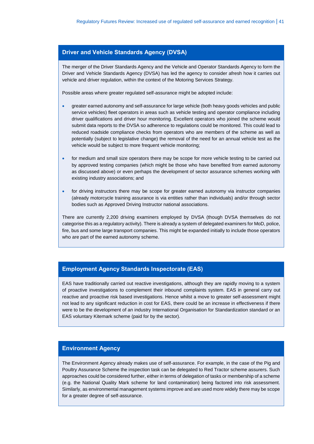### **Driver and Vehicle Standards Agency (DVSA)**

The merger of the Driver Standards Agency and the Vehicle and Operator Standards Agency to form the Driver and Vehicle Standards Agency (DVSA) has led the agency to consider afresh how it carries out vehicle and driver regulation, within the context of the Motoring Services Strategy.

Possible areas where greater regulated self-assurance might be adopted include:

- greater earned autonomy and self-assurance for large vehicle (both heavy goods vehicles and public service vehicles) fleet operators in areas such as vehicle testing and operator compliance including driver qualifications and driver hour monitoring. Excellent operators who joined the scheme would submit data reports to the DVSA so adherence to regulations could be monitored. This could lead to reduced roadside compliance checks from operators who are members of the scheme as well as potentially (subject to legislative change) the removal of the need for an annual vehicle test as the vehicle would be subject to more frequent vehicle monitoring;
- for medium and small size operators there may be scope for more vehicle testing to be carried out by approved testing companies (which might be those who have benefited from earned autonomy as discussed above) or even perhaps the development of sector assurance schemes working with existing industry associations; and
- for driving instructors there may be scope for greater earned autonomy via instructor companies (already motorcycle training assurance is via entities rather than individuals) and/or through sector bodies such as Approved Driving Instructor national associations.

There are currently 2,200 driving examiners employed by DVSA (though DVSA themselves do not categorise this as a regulatory activity). There is already a system of delegated examiners for MoD, police, fire, bus and some large transport companies. This might be expanded initially to include those operators who are part of the earned autonomy scheme.

### **Employment Agency Standards Inspectorate (EAS)**

EAS have traditionally carried out reactive investigations, although they are rapidly moving to a system of proactive investigations to complement their inbound complaints system. EAS in general carry out reactive and proactive risk based investigations. Hence whilst a move to greater self-assessment might not lead to any significant reduction in cost for EAS, there could be an increase in effectiveness if there were to be the development of an industry International Organisation for Standardization standard or an EAS voluntary Kitemark scheme (paid for by the sector).

### **Environment Agency**

The Environment Agency already makes use of self-assurance. For example, in the case of the Pig and Poultry Assurance Scheme the inspection task can be delegated to Red Tractor scheme assurers. Such approaches could be considered further, either in terms of delegation of tasks or membership of a scheme (e.g. the National Quality Mark scheme for land contamination) being factored into risk assessment. Similarly, as environmental management systems improve and are used more widely there may be scope for a greater degree of self-assurance.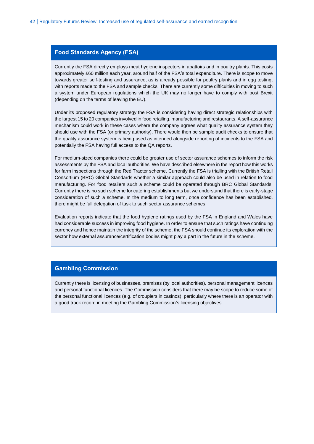### **Food Standards Agency (FSA)**

Currently the FSA directly employs meat hygiene inspectors in abattoirs and in poultry plants. This costs approximately £60 million each year, around half of the FSA's total expenditure. There is scope to move towards greater self-testing and assurance, as is already possible for poultry plants and in egg testing, with reports made to the FSA and sample checks. There are currently some difficulties in moving to such a system under European regulations which the UK may no longer have to comply with post Brexit (depending on the terms of leaving the EU).

Under its proposed regulatory strategy the FSA is considering having direct strategic relationships with the largest 15 to 20 companies involved in food retailing, manufacturing and restaurants. A self-assurance mechanism could work in these cases where the company agrees what quality assurance system they should use with the FSA (or primary authority). There would then be sample audit checks to ensure that the quality assurance system is being used as intended alongside reporting of incidents to the FSA and potentially the FSA having full access to the QA reports.

For medium-sized companies there could be greater use of sector assurance schemes to inform the risk assessments by the FSA and local authorities. We have described elsewhere in the report how this works for farm inspections through the Red Tractor scheme. Currently the FSA is trialling with the British Retail Consortium (BRC) Global Standards whether a similar approach could also be used in relation to food manufacturing. For food retailers such a scheme could be operated through BRC Global Standards. Currently there is no such scheme for catering establishments but we understand that there is early-stage consideration of such a scheme. In the medium to long term, once confidence has been established, there might be full delegation of task to such sector assurance schemes.

Evaluation reports indicate that the food hygiene ratings used by the FSA in England and Wales have had considerable success in improving food hygiene. In order to ensure that such ratings have continuing currency and hence maintain the integrity of the scheme, the FSA should continue its exploration with the sector how external assurance/certification bodies might play a part in the future in the scheme.

### **Gambling Commission**

Currently there is licensing of businesses, premises (by local authorities), personal management licences and personal functional licences. The Commission considers that there may be scope to reduce some of the personal functional licences (e.g. of croupiers in casinos), particularly where there is an operator with a good track record in meeting the Gambling Commission's licensing objectives.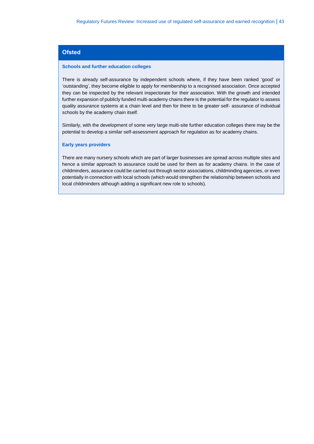### **Ofsted**

#### **Schools and further education colleges**

There is already self-assurance by independent schools where, if they have been ranked 'good' or 'outstanding', they become eligible to apply for membership to a recognised association. Once accepted they can be inspected by the relevant inspectorate for their association. With the growth and intended further expansion of publicly funded multi-academy chains there is the potential for the regulator to assess quality assurance systems at a chain level and then for there to be greater self- assurance of individual schools by the academy chain itself.

Similarly, with the development of some very large multi-site further education colleges there may be the potential to develop a similar self-assessment approach for regulation as for academy chains.

#### **Early years providers**

There are many nursery schools which are part of larger businesses are spread across multiple sites and hence a similar approach to assurance could be used for them as for academy chains. In the case of childminders, assurance could be carried out through sector associations, childminding agencies, or even potentially in connection with local schools (which would strengthen the relationship between schools and local childminders although adding a significant new role to schools).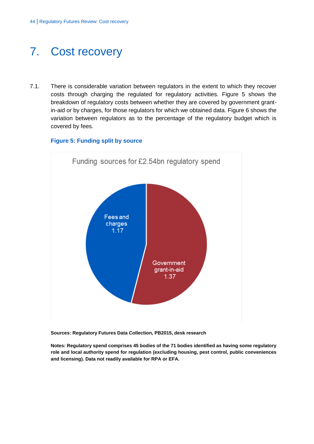# 7. Cost recovery

7.1. There is considerable variation between regulators in the extent to which they recover costs through charging the regulated for regulatory activities. Figure 5 shows the breakdown of regulatory costs between whether they are covered by government grantin-aid or by charges, for those regulators for which we obtained data. Figure 6 shows the variation between regulators as to the percentage of the regulatory budget which is covered by fees.

### **Figure 5: Funding split by source**



Funding sources for £2.54bn regulatory spend

**Sources: Regulatory Futures Data Collection, PB2015, desk research**

**Notes: Regulatory spend comprises 45 bodies of the 71 bodies identified as having some regulatory role and local authority spend for regulation (excluding housing, pest control, public conveniences and licensing). Data not readily available for RPA or EFA.**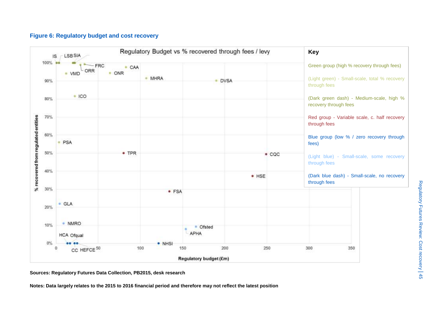### **Figure 6: Regulatory budget and cost recovery**



**Sources: Regulatory Futures Data Collection, PB2015, desk research**

**Notes: Data largely relates to the 2015 to 2016 financial period and therefore may not reflect the latest position**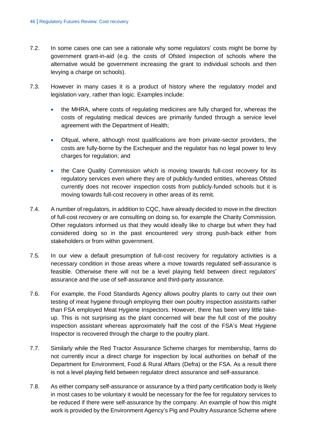- 7.2. In some cases one can see a rationale why some regulators' costs might be borne by government grant-in-aid (e.g. the costs of Ofsted inspection of schools where the alternative would be government increasing the grant to individual schools and then levying a charge on schools).
- 7.3. However in many cases it is a product of history where the regulatory model and legislation vary, rather than logic. Examples include:
	- the MHRA, where costs of regulating medicines are fully charged for, whereas the costs of regulating medical devices are primarily funded through a service level agreement with the Department of Health;
	- Ofqual, where, although most qualifications are from private-sector providers, the costs are fully-borne by the Exchequer and the regulator has no legal power to levy charges for regulation; and
	- the Care Quality Commission which is moving towards full-cost recovery for its regulatory services even where they are of publicly-funded entities, whereas Ofsted currently does not recover inspection costs from publicly-funded schools but it is moving towards full-cost recovery in other areas of its remit.
- 7.4. A number of regulators, in addition to CQC, have already decided to move in the direction of full-cost recovery or are consulting on doing so, for example the Charity Commission. Other regulators informed us that they would ideally like to charge but when they had considered doing so in the past encountered very strong push-back either from stakeholders or from within government.
- 7.5. In our view a default presumption of full-cost recovery for regulatory activities is a necessary condition in those areas where a move towards regulated self-assurance is feasible. Otherwise there will not be a level playing field between direct regulators' assurance and the use of self-assurance and third-party assurance.
- 7.6. For example, the Food Standards Agency allows poultry plants to carry out their own testing of meat hygiene through employing their own poultry inspection assistants rather than FSA employed Meat Hygiene Inspectors. However, there has been very little takeup. This is not surprising as the plant concerned will bear the full cost of the poultry inspection assistant whereas approximately half the cost of the FSA's Meat Hygiene Inspector is recovered through the charge to the poultry plant.
- 7.7. Similarly while the Red Tractor Assurance Scheme charges for membership, farms do not currently incur a direct charge for inspection by local authorities on behalf of the Department for Environment, Food & Rural Affairs (Defra) or the FSA. As a result there is not a level playing field between regulator direct assurance and self-assurance.
- 7.8. As either company self-assurance or assurance by a third party certification body is likely in most cases to be voluntary it would be necessary for the fee for regulatory services to be reduced if there were self-assurance by the company. An example of how this might work is provided by the Environment Agency's Pig and Poultry Assurance Scheme where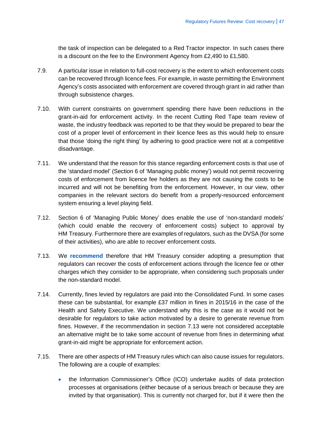the task of inspection can be delegated to a Red Tractor inspector. In such cases there is a discount on the fee to the Environment Agency from £2,490 to £1,580.

- 7.9. A particular issue in relation to full-cost recovery is the extent to which enforcement costs can be recovered through licence fees. For example, in waste permitting the Environment Agency's costs associated with enforcement are covered through grant in aid rather than through subsistence charges.
- 7.10. With current constraints on government spending there have been reductions in the grant-in-aid for enforcement activity. In the recent Cutting Red Tape team review of waste, the industry feedback was reported to be that they would be prepared to bear the cost of a proper level of enforcement in their licence fees as this would help to ensure that those 'doing the right thing' by adhering to good practice were not at a competitive disadvantage.
- 7.11. We understand that the reason for this stance regarding enforcement costs is that use of the 'standard model' (Section 6 of 'Managing public money') would not permit recovering costs of enforcement from licence fee holders as they are not causing the costs to be incurred and will not be benefiting from the enforcement. However, in our view, other companies in the relevant sectors do benefit from a properly-resourced enforcement system ensuring a level playing field.
- 7.12. Section 6 of 'Managing Public Money' does enable the use of 'non-standard models' (which could enable the recovery of enforcement costs) subject to approval by HM Treasury. Furthermore there are examples of regulators, such as the DVSA (for some of their activities), who are able to recover enforcement costs.
- 7.13. We **recommend** therefore that HM Treasury consider adopting a presumption that regulators can recover the costs of enforcement actions through the licence fee or other charges which they consider to be appropriate, when considering such proposals under the non-standard model.
- 7.14. Currently, fines levied by regulators are paid into the Consolidated Fund. In some cases these can be substantial, for example £37 million in fines in 2015/16 in the case of the Health and Safety Executive. We understand why this is the case as it would not be desirable for regulators to take action motivated by a desire to generate revenue from fines. However, if the recommendation in section 7.13 were not considered acceptable an alternative might be to take some account of revenue from fines in determining what grant-in-aid might be appropriate for enforcement action.
- 7.15. There are other aspects of HM Treasury rules which can also cause issues for regulators. The following are a couple of examples:
	- the Information Commissioner's Office (ICO) undertake audits of data protection processes at organisations (either because of a serious breach or because they are invited by that organisation). This is currently not charged for, but if it were then the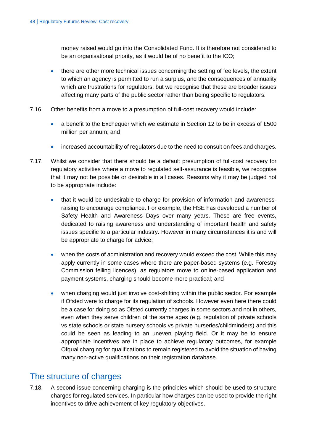money raised would go into the Consolidated Fund. It is therefore not considered to be an organisational priority, as it would be of no benefit to the ICO;

- there are other more technical issues concerning the setting of fee levels, the extent to which an agency is permitted to run a surplus, and the consequences of annuality which are frustrations for regulators, but we recognise that these are broader issues affecting many parts of the public sector rather than being specific to regulators.
- 7.16. Other benefits from a move to a presumption of full-cost recovery would include:
	- a benefit to the Exchequer which we estimate in Section 12 to be in excess of £500 million per annum; and
	- increased accountability of regulators due to the need to consult on fees and charges.
- 7.17. Whilst we consider that there should be a default presumption of full-cost recovery for regulatory activities where a move to regulated self-assurance is feasible, we recognise that it may not be possible or desirable in all cases. Reasons why it may be judged not to be appropriate include:
	- that it would be undesirable to charge for provision of information and awarenessraising to encourage compliance. For example, the HSE has developed a number of Safety Health and Awareness Days over many years. These are free events, dedicated to raising awareness and understanding of important health and safety issues specific to a particular industry. However in many circumstances it is and will be appropriate to charge for advice;
	- when the costs of administration and recovery would exceed the cost. While this may apply currently in some cases where there are paper-based systems (e.g. Forestry Commission felling licences), as regulators move to online-based application and payment systems, charging should become more practical; and
	- when charging would just involve cost-shifting within the public sector. For example if Ofsted were to charge for its regulation of schools. However even here there could be a case for doing so as Ofsted currently charges in some sectors and not in others, even when they serve children of the same ages (e.g. regulation of private schools vs state schools or state nursery schools vs private nurseries/childminders) and this could be seen as leading to an uneven playing field. Or it may be to ensure appropriate incentives are in place to achieve regulatory outcomes, for example Ofqual charging for qualifications to remain registered to avoid the situation of having many non-active qualifications on their registration database.

## The structure of charges

7.18. A second issue concerning charging is the principles which should be used to structure charges for regulated services. In particular how charges can be used to provide the right incentives to drive achievement of key regulatory objectives.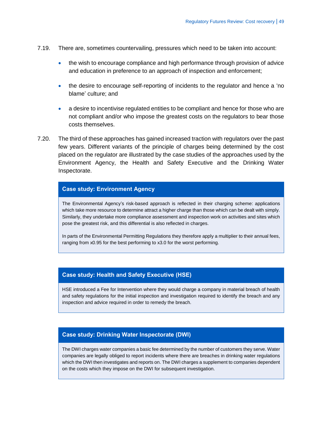- 7.19. There are, sometimes countervailing, pressures which need to be taken into account:
	- the wish to encourage compliance and high performance through provision of advice and education in preference to an approach of inspection and enforcement;
	- the desire to encourage self-reporting of incidents to the regulator and hence a 'no blame' culture; and
	- a desire to incentivise regulated entities to be compliant and hence for those who are not compliant and/or who impose the greatest costs on the regulators to bear those costs themselves.
- 7.20. The third of these approaches has gained increased traction with regulators over the past few years. Different variants of the principle of charges being determined by the cost placed on the regulator are illustrated by the case studies of the approaches used by the Environment Agency, the Health and Safety Executive and the Drinking Water Inspectorate.

### **Case study: Environment Agency**

The Environmental Agency's risk-based approach is reflected in their charging scheme: applications which take more resource to determine attract a higher charge than those which can be dealt with simply. Similarly, they undertake more compliance assessment and inspection work on activities and sites which pose the greatest risk, and this differential is also reflected in charges.

In parts of the Environmental Permitting Regulations they therefore apply a multiplier to their annual fees, ranging from x0.95 for the best performing to x3.0 for the worst performing.

### **Case study: Health and Safety Executive (HSE)**

HSE introduced a Fee for Intervention where they would charge a company in material breach of health and safety regulations for the initial inspection and investigation required to identify the breach and any inspection and advice required in order to remedy the breach.

### **Case study: Drinking Water Inspectorate (DWI)**

The DWI charges water companies a basic fee determined by the number of customers they serve. Water companies are legally obliged to report incidents where there are breaches in drinking water regulations which the DWI then investigates and reports on. The DWI charges a supplement to companies dependent on the costs which they impose on the DWI for subsequent investigation.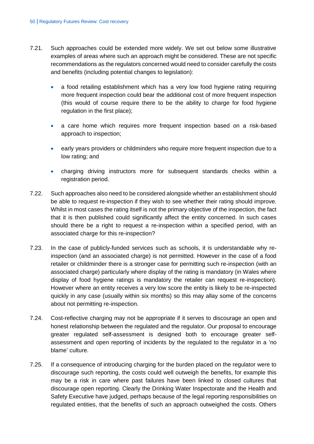- 7.21. Such approaches could be extended more widely. We set out below some illustrative examples of areas where such an approach might be considered. These are not specific recommendations as the regulators concerned would need to consider carefully the costs and benefits (including potential changes to legislation):
	- a food retailing establishment which has a very low food hygiene rating requiring more frequent inspection could bear the additional cost of more frequent inspection (this would of course require there to be the ability to charge for food hygiene regulation in the first place);
	- a care home which requires more frequent inspection based on a risk-based approach to inspection;
	- early years providers or childminders who require more frequent inspection due to a low rating; and
	- charging driving instructors more for subsequent standards checks within a registration period.
- 7.22. Such approaches also need to be considered alongside whether an establishment should be able to request re-inspection if they wish to see whether their rating should improve. Whilst in most cases the rating itself is not the primary objective of the inspection, the fact that it is then published could significantly affect the entity concerned. In such cases should there be a right to request a re-inspection within a specified period, with an associated charge for this re-inspection?
- 7.23. In the case of publicly-funded services such as schools, it is understandable why reinspection (and an associated charge) is not permitted. However in the case of a food retailer or childminder there is a stronger case for permitting such re-inspection (with an associated charge) particularly where display of the rating is mandatory (in Wales where display of food hygiene ratings is mandatory the retailer can request re-inspection). However where an entity receives a very low score the entity is likely to be re-inspected quickly in any case (usually within six months) so this may allay some of the concerns about not permitting re-inspection.
- 7.24. Cost-reflective charging may not be appropriate if it serves to discourage an open and honest relationship between the regulated and the regulator. Our proposal to encourage greater regulated self-assessment is designed both to encourage greater selfassessment and open reporting of incidents by the regulated to the regulator in a 'no blame' culture.
- 7.25. If a consequence of introducing charging for the burden placed on the regulator were to discourage such reporting, the costs could well outweigh the benefits, for example this may be a risk in care where past failures have been linked to closed cultures that discourage open reporting. Clearly the Drinking Water Inspectorate and the Health and Safety Executive have judged, perhaps because of the legal reporting responsibilities on regulated entities, that the benefits of such an approach outweighed the costs. Others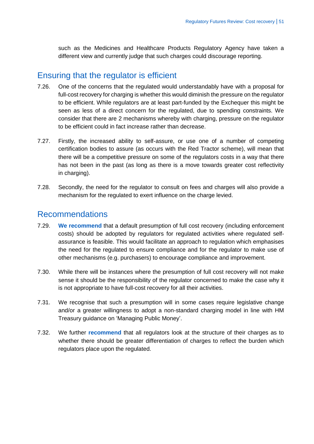such as the Medicines and Healthcare Products Regulatory Agency have taken a different view and currently judge that such charges could discourage reporting.

## Ensuring that the regulator is efficient

- 7.26. One of the concerns that the regulated would understandably have with a proposal for full-cost recovery for charging is whether this would diminish the pressure on the regulator to be efficient. While regulators are at least part-funded by the Exchequer this might be seen as less of a direct concern for the regulated, due to spending constraints. We consider that there are 2 mechanisms whereby with charging, pressure on the regulator to be efficient could in fact increase rather than decrease.
- 7.27. Firstly, the increased ability to self-assure, or use one of a number of competing certification bodies to assure (as occurs with the Red Tractor scheme), will mean that there will be a competitive pressure on some of the regulators costs in a way that there has not been in the past (as long as there is a move towards greater cost reflectivity in charging).
- 7.28. Secondly, the need for the regulator to consult on fees and charges will also provide a mechanism for the regulated to exert influence on the charge levied.

## Recommendations

- 7.29. **We recommend** that a default presumption of full cost recovery (including enforcement costs) should be adopted by regulators for regulated activities where regulated selfassurance is feasible. This would facilitate an approach to regulation which emphasises the need for the regulated to ensure compliance and for the regulator to make use of other mechanisms (e.g. purchasers) to encourage compliance and improvement.
- 7.30. While there will be instances where the presumption of full cost recovery will not make sense it should be the responsibility of the regulator concerned to make the case why it is not appropriate to have full-cost recovery for all their activities.
- 7.31. We recognise that such a presumption will in some cases require legislative change and/or a greater willingness to adopt a non-standard charging model in line with HM Treasury guidance on 'Managing Public Money'.
- 7.32. We further **recommend** that all regulators look at the structure of their charges as to whether there should be greater differentiation of charges to reflect the burden which regulators place upon the regulated.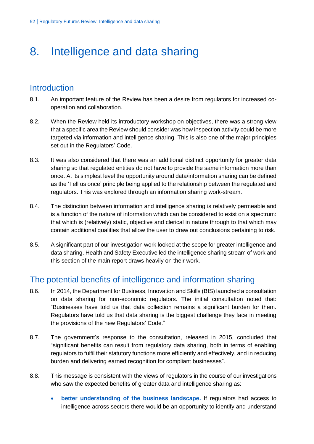# 8. Intelligence and data sharing

## **Introduction**

- 8.1. An important feature of the Review has been a desire from regulators for increased cooperation and collaboration.
- 8.2. When the Review held its introductory workshop on objectives, there was a strong view that a specific area the Review should consider was how inspection activity could be more targeted via information and intelligence sharing. This is also one of the major principles set out in the Regulators' Code.
- 8.3. It was also considered that there was an additional distinct opportunity for greater data sharing so that regulated entities do not have to provide the same information more than once. At its simplest level the opportunity around data/information sharing can be defined as the 'Tell us once' principle being applied to the relationship between the regulated and regulators. This was explored through an information sharing work-stream.
- 8.4. The distinction between information and intelligence sharing is relatively permeable and is a function of the nature of information which can be considered to exist on a spectrum: that which is (relatively) static, objective and clerical in nature through to that which may contain additional qualities that allow the user to draw out conclusions pertaining to risk.
- 8.5. A significant part of our investigation work looked at the scope for greater intelligence and data sharing. Health and Safety Executive led the intelligence sharing stream of work and this section of the main report draws heavily on their work.

## The potential benefits of intelligence and information sharing

- 8.6. In 2014, the Department for Business, Innovation and Skills (BIS) launched a consultation on data sharing for non-economic regulators. The initial consultation noted that: "Businesses have told us that data collection remains a significant burden for them. Regulators have told us that data sharing is the biggest challenge they face in meeting the provisions of the new Regulators' Code."
- 8.7. The government's response to the consultation, released in 2015, concluded that "significant benefits can result from regulatory data sharing, both in terms of enabling regulators to fulfil their statutory functions more efficiently and effectively, and in reducing burden and delivering earned recognition for compliant businesses".
- 8.8. This message is consistent with the views of regulators in the course of our investigations who saw the expected benefits of greater data and intelligence sharing as:
	- **better understanding of the business landscape.** If regulators had access to intelligence across sectors there would be an opportunity to identify and understand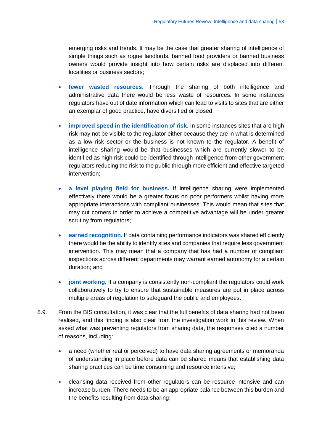emerging risks and trends. It may be the case that greater sharing of intelligence of simple things such as rogue landlords, banned food providers or banned business owners would provide insight into how certain risks are displaced into different localities or business sectors;

- **fewer wasted resources.** Through the sharing of both intelligence and administrative data there would be less waste of resources. In some instances regulators have out of date information which can lead to visits to sites that are either an exemplar of good practice, have diversified or closed;
- **improved speed in the identification of risk.** In some instances sites that are high risk may not be visible to the regulator either because they are in what is determined as a low risk sector or the business is not known to the regulator. A benefit of intelligence sharing would be that businesses which are currently slower to be identified as high risk could be identified through intelligence from other government regulators reducing the risk to the public through more efficient and effective targeted intervention;
- **a level playing field for business.** If intelligence sharing were implemented effectively there would be a greater focus on poor performers whilst having more appropriate interactions with compliant businesses. This would mean that sites that may cut corners in order to achieve a competitive advantage will be under greater scrutiny from regulators;
- **earned recognition.** If data containing performance indicators was shared efficiently there would be the ability to identify sites and companies that require less government intervention. This may mean that a company that has had a number of compliant inspections across different departments may warrant earned autonomy for a certain duration; and
- **joint working.** If a company is consistently non-compliant the regulators could work collaboratively to try to ensure that sustainable measures are put in place across multiple areas of regulation to safeguard the public and employees.
- 8.9. From the BIS consultation, it was clear that the full benefits of data sharing had not been realised, and this finding is also clear from the investigation work in this review. When asked what was preventing regulators from sharing data, the responses cited a number of reasons, including:
	- a need (whether real or perceived) to have data sharing agreements or memoranda of understanding in place before data can be shared means that establishing data sharing practices can be time consuming and resource intensive;
	- cleansing data received from other regulators can be resource intensive and can increase burden. There needs to be an appropriate balance between this burden and the benefits resulting from data sharing;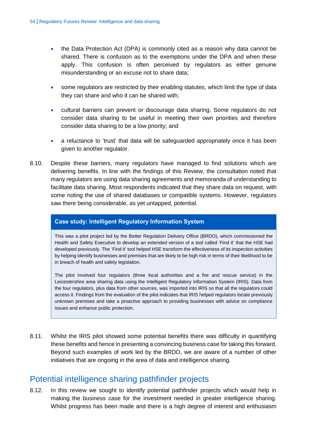- the Data Protection Act (DPA) is commonly cited as a reason why data cannot be shared. There is confusion as to the exemptions under the DPA and when these apply. This confusion is often perceived by regulators as either genuine misunderstanding or an excuse not to share data;
- some regulators are restricted by their enabling statutes, which limit the type of data they can share and who it can be shared with;
- cultural barriers can prevent or discourage data sharing. Some regulators do not consider data sharing to be useful in meeting their own priorities and therefore consider data sharing to be a low priority; and
- a reluctance to 'trust' that data will be safeguarded appropriately once it has been given to another regulator.
- 8.10. Despite these barriers, many regulators have managed to find solutions which are delivering benefits. In line with the findings of this Review, the consultation noted that many regulators are using data sharing agreements and memoranda of understanding to facilitate data sharing. Most respondents indicated that they share data on request, with some noting the use of shared databases or compatible systems. However, regulators saw there being considerable, as yet untapped, potential.

### **Case study: Intelligent Regulatory Information System**

This was a pilot project led by the Better Regulation Delivery Office (BRDO), which commissioned the Health and Safety Executive to develop an extended version of a tool called 'Find it' that the HSE had developed previously. The 'Find it' tool helped HSE transform the effectiveness of its inspection activities by helping identify businesses and premises that are likely to be high risk in terms of their likelihood to be in breach of health and safety legislation.

The pilot involved four regulators (three local authorities and a fire and rescue service) in the Leicestershire area sharing data using the Intelligent Regulatory Information System (IRIS). Data from the four regulators, plus data from other sources, was imported into IRIS so that all the regulators could access it. Findings from the evaluation of the pilot indicates that IRIS helped regulators locate previously unknown premises and take a proactive approach to providing businesses with advice on compliance issues and enhance public protection.

8.11. Whilst the IRIS pilot showed some potential benefits there was difficulty in quantifying these benefits and hence in presenting a convincing business case for taking this forward. Beyond such examples of work led by the BRDO, we are aware of a number of other initiatives that are ongoing in the area of data and intelligence sharing.

## Potential intelligence sharing pathfinder projects

8.12. In this review we sought to identify potential pathfinder projects which would help in making the business case for the investment needed in greater intelligence sharing. Whilst progress has been made and there is a high degree of interest and enthusiasm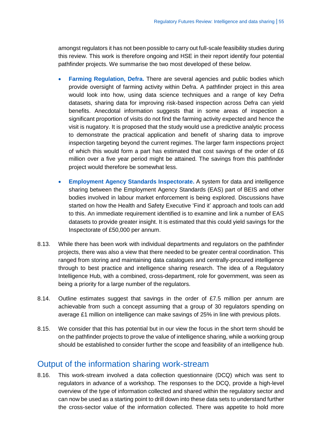amongst regulators it has not been possible to carry out full-scale feasibility studies during this review. This work is therefore ongoing and HSE in their report identify four potential pathfinder projects. We summarise the two most developed of these below.

- **Farming Regulation, Defra.** There are several agencies and public bodies which provide oversight of farming activity within Defra. A pathfinder project in this area would look into how, using data science techniques and a range of key Defra datasets, sharing data for improving risk-based inspection across Defra can yield benefits. Anecdotal information suggests that in some areas of inspection a significant proportion of visits do not find the farming activity expected and hence the visit is nugatory. It is proposed that the study would use a predictive analytic process to demonstrate the practical application and benefit of sharing data to improve inspection targeting beyond the current regimes. The larger farm inspections project of which this would form a part has estimated that cost savings of the order of £6 million over a five year period might be attained. The savings from this pathfinder project would therefore be somewhat less.
- **Employment Agency Standards Inspectorate.** A system for data and intelligence sharing between the Employment Agency Standards (EAS) part of BEIS and other bodies involved in labour market enforcement is being explored. Discussions have started on how the Health and Safety Executive 'Find it' approach and tools can add to this. An immediate requirement identified is to examine and link a number of EAS datasets to provide greater insight. It is estimated that this could yield savings for the Inspectorate of £50,000 per annum.
- 8.13. While there has been work with individual departments and regulators on the pathfinder projects, there was also a view that there needed to be greater central coordination. This ranged from storing and maintaining data catalogues and centrally-procured intelligence through to best practice and intelligence sharing research. The idea of a Regulatory Intelligence Hub, with a combined, cross-department, role for government, was seen as being a priority for a large number of the regulators.
- 8.14. Outline estimates suggest that savings in the order of  $£7.5$  million per annum are achievable from such a concept assuming that a group of 30 regulators spending on average £1 million on intelligence can make savings of 25% in line with previous pilots.
- 8.15. We consider that this has potential but in our view the focus in the short term should be on the pathfinder projects to prove the value of intelligence sharing, while a working group should be established to consider further the scope and feasibility of an intelligence hub.

## Output of the information sharing work-stream

8.16. This work-stream involved a data collection questionnaire (DCQ) which was sent to regulators in advance of a workshop. The responses to the DCQ, provide a high-level overview of the type of information collected and shared within the regulatory sector and can now be used as a starting point to drill down into these data sets to understand further the cross-sector value of the information collected. There was appetite to hold more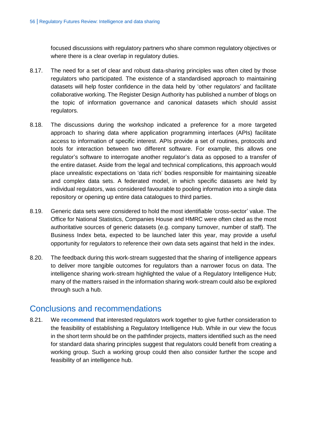focused discussions with regulatory partners who share common regulatory objectives or where there is a clear overlap in regulatory duties.

- 8.17. The need for a set of clear and robust data-sharing principles was often cited by those regulators who participated. The existence of a standardised approach to maintaining datasets will help foster confidence in the data held by 'other regulators' and facilitate collaborative working. The Register Design Authority has published a number of blogs on the topic of information governance and canonical datasets which should assist regulators.
- 8.18. The discussions during the workshop indicated a preference for a more targeted approach to sharing data where application programming interfaces (APIs) facilitate access to information of specific interest. APIs provide a set of routines, protocols and tools for interaction between two different software. For example, this allows one regulator's software to interrogate another regulator's data as opposed to a transfer of the entire dataset. Aside from the legal and technical complications, this approach would place unrealistic expectations on 'data rich' bodies responsible for maintaining sizeable and complex data sets. A federated model, in which specific datasets are held by individual regulators, was considered favourable to pooling information into a single data repository or opening up entire data catalogues to third parties.
- 8.19. Generic data sets were considered to hold the most identifiable 'cross-sector' value. The Office for National Statistics, Companies House and HMRC were often cited as the most authoritative sources of generic datasets (e.g. company turnover, number of staff). The Business Index beta, expected to be launched later this year, may provide a useful opportunity for regulators to reference their own data sets against that held in the index.
- 8.20. The feedback during this work-stream suggested that the sharing of intelligence appears to deliver more tangible outcomes for regulators than a narrower focus on data. The intelligence sharing work-stream highlighted the value of a Regulatory Intelligence Hub; many of the matters raised in the information sharing work-stream could also be explored through such a hub.

## Conclusions and recommendations

8.21. We **recommend** that interested regulators work together to give further consideration to the feasibility of establishing a Regulatory Intelligence Hub. While in our view the focus in the short term should be on the pathfinder projects, matters identified such as the need for standard data sharing principles suggest that regulators could benefit from creating a working group. Such a working group could then also consider further the scope and feasibility of an intelligence hub.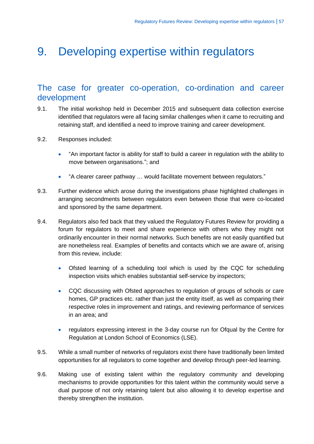# 9. Developing expertise within regulators

## The case for greater co-operation, co-ordination and career development

- 9.1. The initial workshop held in December 2015 and subsequent data collection exercise identified that regulators were all facing similar challenges when it came to recruiting and retaining staff, and identified a need to improve training and career development.
- 9.2. Responses included:
	- "An important factor is ability for staff to build a career in regulation with the ability to move between organisations."; and
	- "A clearer career pathway … would facilitate movement between regulators."
- 9.3. Further evidence which arose during the investigations phase highlighted challenges in arranging secondments between regulators even between those that were co-located and sponsored by the same department.
- 9.4. Regulators also fed back that they valued the Regulatory Futures Review for providing a forum for regulators to meet and share experience with others who they might not ordinarily encounter in their normal networks. Such benefits are not easily quantified but are nonetheless real. Examples of benefits and contacts which we are aware of, arising from this review, include:
	- Ofsted learning of a scheduling tool which is used by the CQC for scheduling inspection visits which enables substantial self-service by inspectors;
	- CQC discussing with Ofsted approaches to regulation of groups of schools or care homes, GP practices etc. rather than just the entity itself, as well as comparing their respective roles in improvement and ratings, and reviewing performance of services in an area; and
	- regulators expressing interest in the 3-day course run for Ofqual by the Centre for Regulation at London School of Economics (LSE).
- 9.5. While a small number of networks of regulators exist there have traditionally been limited opportunities for all regulators to come together and develop through peer-led learning.
- 9.6. Making use of existing talent within the regulatory community and developing mechanisms to provide opportunities for this talent within the community would serve a dual purpose of not only retaining talent but also allowing it to develop expertise and thereby strengthen the institution.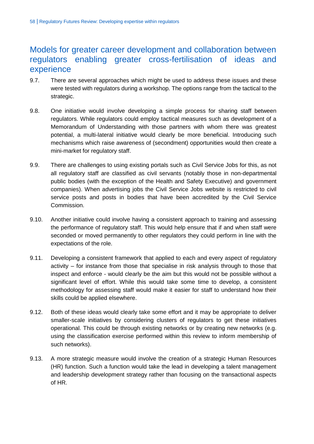## Models for greater career development and collaboration between regulators enabling greater cross-fertilisation of ideas and experience

- 9.7. There are several approaches which might be used to address these issues and these were tested with regulators during a workshop. The options range from the tactical to the strategic.
- 9.8. One initiative would involve developing a simple process for sharing staff between regulators. While regulators could employ tactical measures such as development of a Memorandum of Understanding with those partners with whom there was greatest potential, a multi-lateral initiative would clearly be more beneficial. Introducing such mechanisms which raise awareness of (secondment) opportunities would then create a mini-market for regulatory staff.
- 9.9. There are challenges to using existing portals such as Civil Service Jobs for this, as not all regulatory staff are classified as civil servants (notably those in non-departmental public bodies (with the exception of the Health and Safety Executive) and government companies). When advertising jobs the Civil Service Jobs website is restricted to civil service posts and posts in bodies that have been accredited by the Civil Service Commission.
- 9.10. Another initiative could involve having a consistent approach to training and assessing the performance of regulatory staff. This would help ensure that if and when staff were seconded or moved permanently to other regulators they could perform in line with the expectations of the role.
- 9.11. Developing a consistent framework that applied to each and every aspect of regulatory activity – for instance from those that specialise in risk analysis through to those that inspect and enforce - would clearly be the aim but this would not be possible without a significant level of effort. While this would take some time to develop, a consistent methodology for assessing staff would make it easier for staff to understand how their skills could be applied elsewhere.
- 9.12. Both of these ideas would clearly take some effort and it may be appropriate to deliver smaller-scale initiatives by considering clusters of regulators to get these initiatives operational. This could be through existing networks or by creating new networks (e.g. using the classification exercise performed within this review to inform membership of such networks).
- 9.13. A more strategic measure would involve the creation of a strategic Human Resources (HR) function. Such a function would take the lead in developing a talent management and leadership development strategy rather than focusing on the transactional aspects of HR.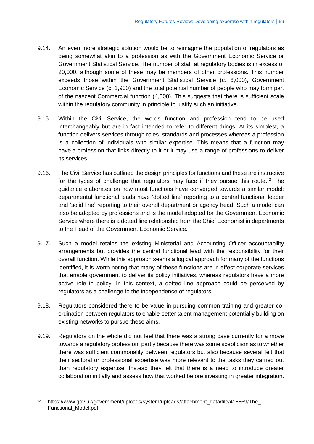- 9.14. An even more strategic solution would be to reimagine the population of regulators as being somewhat akin to a profession as with the Government Economic Service or Government Statistical Service. The number of staff at regulatory bodies is in excess of 20,000, although some of these may be members of other professions. This number exceeds those within the Government Statistical Service (c. 6,000), Government Economic Service (c. 1,900) and the total potential number of people who may form part of the nascent Commercial function (4,000). This suggests that there is sufficient scale within the regulatory community in principle to justify such an initiative.
- 9.15. Within the Civil Service, the words function and profession tend to be used interchangeably but are in fact intended to refer to different things. At its simplest, a function delivers services through roles, standards and processes whereas a profession is a collection of individuals with similar expertise. This means that a function may have a profession that links directly to it or it may use a range of professions to deliver its services.
- 9.16. The Civil Service has outlined the design principles for functions and these are instructive for the types of challenge that regulators may face if they pursue this route.<sup>13</sup> The guidance elaborates on how most functions have converged towards a similar model: departmental functional leads have 'dotted line' reporting to a central functional leader and 'solid line' reporting to their overall department or agency head. Such a model can also be adopted by professions and is the model adopted for the Government Economic Service where there is a dotted line relationship from the Chief Economist in departments to the Head of the Government Economic Service.
- 9.17. Such a model retains the existing Ministerial and Accounting Officer accountability arrangements but provides the central functional lead with the responsibility for their overall function. While this approach seems a logical approach for many of the functions identified, it is worth noting that many of these functions are in effect corporate services that enable government to deliver its policy initiatives, whereas regulators have a more active role in policy. In this context, a dotted line approach could be perceived by regulators as a challenge to the independence of regulators.
- 9.18. Regulators considered there to be value in pursuing common training and greater coordination between regulators to enable better talent management potentially building on existing networks to pursue these aims.
- 9.19. Regulators on the whole did not feel that there was a strong case currently for a move towards a regulatory profession, partly because there was some scepticism as to whether there was sufficient commonality between regulators but also because several felt that their sectoral or professional expertise was more relevant to the tasks they carried out than regulatory expertise. Instead they felt that there is a need to introduce greater collaboration initially and assess how that worked before investing in greater integration.

 $\overline{a}$ 

<sup>13</sup> https://www.gov.uk/government/uploads/system/uploads/attachment\_data/file/418869/The [Functional\\_Model.pdf](https://www.gov.uk/government/uploads/system/uploads/attachment_data/file/418869/The_Functional_Model.pdf)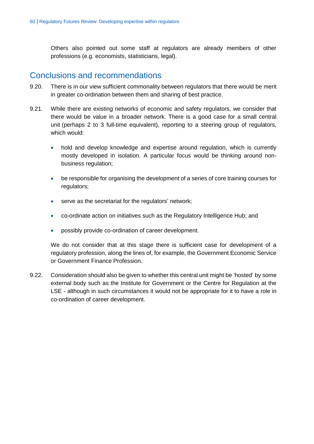Others also pointed out some staff at regulators are already members of other professions (e.g. economists, statisticians, legal).

## Conclusions and recommendations

- 9.20. There is in our view sufficient commonality between regulators that there would be merit in greater co-ordination between them and sharing of best practice.
- 9.21. While there are existing networks of economic and safety regulators, we consider that there would be value in a broader network. There is a good case for a small central unit (perhaps 2 to 3 full-time equivalent), reporting to a steering group of regulators, which would:
	- hold and develop knowledge and expertise around regulation, which is currently mostly developed in isolation. A particular focus would be thinking around nonbusiness regulation;
	- be responsible for organising the development of a series of core training courses for regulators;
	- serve as the secretariat for the regulators' network;
	- co-ordinate action on initiatives such as the Regulatory Intelligence Hub; and
	- possibly provide co-ordination of career development.

We do not consider that at this stage there is sufficient case for development of a regulatory profession, along the lines of, for example, the Government Economic Service or Government Finance Profession.

9.22. Consideration should also be given to whether this central unit might be 'hosted' by some external body such as the Institute for Government or the Centre for Regulation at the LSE - although in such circumstances it would not be appropriate for it to have a role in co-ordination of career development.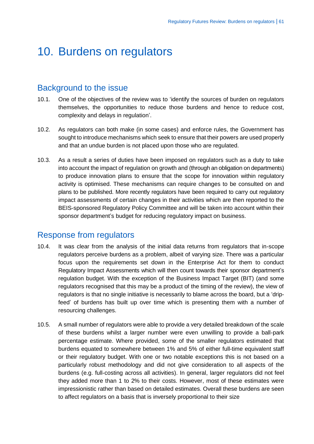# 10. Burdens on regulators

## Background to the issue

- 10.1. One of the objectives of the review was to 'identify the sources of burden on regulators themselves, the opportunities to reduce those burdens and hence to reduce cost, complexity and delays in regulation'.
- 10.2. As regulators can both make (in some cases) and enforce rules, the Government has sought to introduce mechanisms which seek to ensure that their powers are used properly and that an undue burden is not placed upon those who are regulated.
- 10.3. As a result a series of duties have been imposed on regulators such as a duty to take into account the impact of regulation on growth and (through an obligation on departments) to produce innovation plans to ensure that the scope for innovation within regulatory activity is optimised. These mechanisms can require changes to be consulted on and plans to be published. More recently regulators have been required to carry out regulatory impact assessments of certain changes in their activities which are then reported to the BEIS-sponsored Regulatory Policy Committee and will be taken into account within their sponsor department's budget for reducing regulatory impact on business.

## Response from regulators

- 10.4. It was clear from the analysis of the initial data returns from regulators that in-scope regulators perceive burdens as a problem, albeit of varying size. There was a particular focus upon the requirements set down in the Enterprise Act for them to conduct Regulatory Impact Assessments which will then count towards their sponsor department's regulation budget. With the exception of the Business Impact Target (BIT) (and some regulators recognised that this may be a product of the timing of the review), the view of regulators is that no single initiative is necessarily to blame across the board, but a 'dripfeed' of burdens has built up over time which is presenting them with a number of resourcing challenges.
- 10.5. A small number of regulators were able to provide a very detailed breakdown of the scale of these burdens whilst a larger number were even unwilling to provide a ball-park percentage estimate. Where provided, some of the smaller regulators estimated that burdens equated to somewhere between 1% and 5% of either full-time equivalent staff or their regulatory budget. With one or two notable exceptions this is not based on a particularly robust methodology and did not give consideration to all aspects of the burdens (e.g. full-costing across all activities). In general, larger regulators did not feel they added more than 1 to 2% to their costs. However, most of these estimates were impressionistic rather than based on detailed estimates. Overall these burdens are seen to affect regulators on a basis that is inversely proportional to their size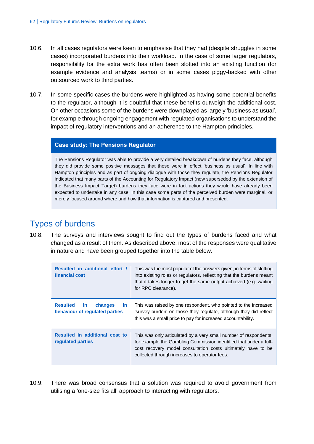- 10.6. In all cases regulators were keen to emphasise that they had (despite struggles in some cases) incorporated burdens into their workload. In the case of some larger regulators, responsibility for the extra work has often been slotted into an existing function (for example evidence and analysis teams) or in some cases piggy-backed with other outsourced work to third parties.
- 10.7. In some specific cases the burdens were highlighted as having some potential benefits to the regulator, although it is doubtful that these benefits outweigh the additional cost. On other occasions some of the burdens were downplayed as largely 'business as usual', for example through ongoing engagement with regulated organisations to understand the impact of regulatory interventions and an adherence to the Hampton principles.

### **Case study: The Pensions Regulator**

The Pensions Regulator was able to provide a very detailed breakdown of burdens they face, although they did provide some positive messages that these were in effect 'business as usual'. In line with Hampton principles and as part of ongoing dialogue with those they regulate, the Pensions Regulator indicated that many parts of the Accounting for Regulatory Impact (now superseded by the extension of the Business Impact Target) burdens they face were in fact actions they would have already been expected to undertake in any case. In this case some parts of the perceived burden were marginal, or merely focused around where and how that information is captured and presented.

# Types of burdens

10.8. The surveys and interviews sought to find out the types of burdens faced and what changed as a result of them. As described above, most of the responses were qualitative in nature and have been grouped together into the table below.

| Resulted in additional effort /<br>financial cost                                | This was the most popular of the answers given, in terms of slotting<br>into existing roles or regulators, reflecting that the burdens meant<br>that it takes longer to get the same output achieved (e.g. waiting<br>for RPC clearance).              |
|----------------------------------------------------------------------------------|--------------------------------------------------------------------------------------------------------------------------------------------------------------------------------------------------------------------------------------------------------|
| <b>Resulted</b><br>changes<br>in.<br><u>in</u><br>behaviour of regulated parties | This was raised by one respondent, who pointed to the increased<br>'survey burden' on those they regulate, although they did reflect<br>this was a small price to pay for increased accountability.                                                    |
| Resulted in additional cost to<br>regulated parties                              | This was only articulated by a very small number of respondents,<br>for example the Gambling Commission identified that under a full-<br>cost recovery model consultation costs ultimately have to be<br>collected through increases to operator fees. |

10.9. There was broad consensus that a solution was required to avoid government from utilising a 'one-size fits all' approach to interacting with regulators.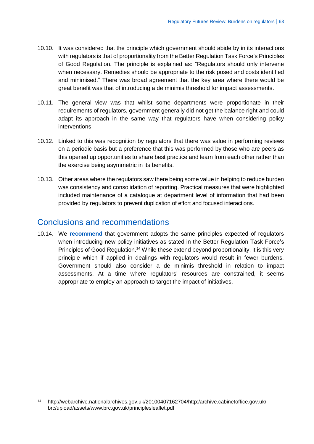- 10.10. It was considered that the principle which government should abide by in its interactions with regulators is that of proportionality from the Better Regulation Task Force's Principles of Good Regulation. The principle is explained as: "Regulators should only intervene when necessary. Remedies should be appropriate to the risk posed and costs identified and minimised." There was broad agreement that the key area where there would be great benefit was that of introducing a de minimis threshold for impact assessments.
- 10.11. The general view was that whilst some departments were proportionate in their requirements of regulators, government generally did not get the balance right and could adapt its approach in the same way that regulators have when considering policy interventions.
- 10.12. Linked to this was recognition by regulators that there was value in performing reviews on a periodic basis but a preference that this was performed by those who are peers as this opened up opportunities to share best practice and learn from each other rather than the exercise being asymmetric in its benefits.
- 10.13. Other areas where the regulators saw there being some value in helping to reduce burden was consistency and consolidation of reporting. Practical measures that were highlighted included maintenance of a catalogue at department level of information that had been provided by regulators to prevent duplication of effort and focused interactions.

## Conclusions and recommendations

 $\overline{a}$ 

10.14. We **recommend** that government adopts the same principles expected of regulators when introducing new policy initiatives as stated in the Better Regulation Task Force's Principles of Good Regulation.<sup>14</sup> While these extend beyond proportionality, it is this very principle which if applied in dealings with regulators would result in fewer burdens. Government should also consider a de minimis threshold in relation to impact assessments. At a time where regulators' resources are constrained, it seems appropriate to employ an approach to target the impact of initiatives.

<sup>14</sup> [http://webarchive.nationalarchives.gov.uk/20100407162704/http:/archive.cabinetoffice.gov.uk/](http://webarchive.nationalarchives.gov.uk/20100407162704/http:/archive.cabinetoffice.gov.uk/brc/upload/assets/www.brc.gov.uk/principlesleaflet.pdf) [brc/upload/assets/www.brc.gov.uk/principlesleaflet.pdf](http://webarchive.nationalarchives.gov.uk/20100407162704/http:/archive.cabinetoffice.gov.uk/brc/upload/assets/www.brc.gov.uk/principlesleaflet.pdf)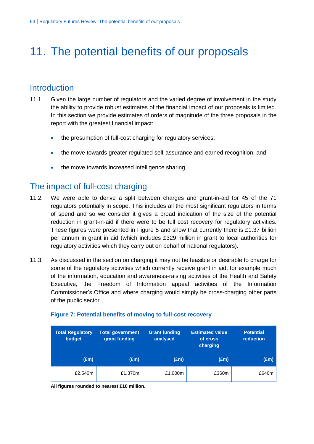# 11. The potential benefits of our proposals

## **Introduction**

- 11.1. Given the large number of regulators and the varied degree of involvement in the study the ability to provide robust estimates of the financial impact of our proposals is limited. In this section we provide estimates of orders of magnitude of the three proposals in the report with the greatest financial impact:
	- the presumption of full-cost charging for regulatory services;
	- the move towards greater regulated self-assurance and earned recognition; and
	- the move towards increased intelligence sharing.

## The impact of full-cost charging

- 11.2. We were able to derive a split between charges and grant-in-aid for 45 of the 71 regulators potentially in scope. This includes all the most significant regulators in terms of spend and so we consider it gives a broad indication of the size of the potential reduction in grant-in-aid if there were to be full cost recovery for regulatory activities. These figures were presented in Figure 5 and show that currently there is £1.37 billion per annum in grant in aid (which includes £329 million in grant to local authorities for regulatory activities which they carry out on behalf of national regulators).
- 11.3. As discussed in the section on charging it may not be feasible or desirable to charge for some of the regulatory activities which currently receive grant in aid, for example much of the information, education and awareness-raising activities of the Health and Safety Executive, the Freedom of Information appeal activities of the Information Commissioner's Office and where charging would simply be cross-charging other parts of the public sector.

| <b>Total Requlatory</b><br>budget | <b>Total government</b><br>grant funding | <b>Grant funding</b><br>analysed | <b>Estimated value</b><br>of cross<br>charging | <b>Potential</b><br><b>reduction</b> |
|-----------------------------------|------------------------------------------|----------------------------------|------------------------------------------------|--------------------------------------|
| $(\text{Em})$                     | (£m)                                     | (£m)                             | (£m)                                           | $(\text{Em})$                        |
| £2,540m                           | £1,370m                                  | £1,000m                          | £360m                                          | £640m                                |

### **Figure 7: Potential benefits of moving to full-cost recovery**

**All figures rounded to nearest £10 million.**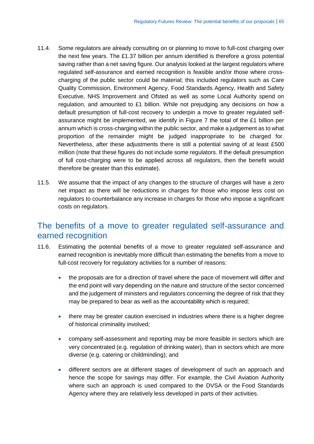- 11.4. Some regulators are already consulting on or planning to move to full-cost charging over the next few years. The £1.37 billion per annum identified is therefore a gross potential saving rather than a net saving figure. Our analysis looked at the largest regulators where regulated self-assurance and earned recognition is feasible and/or those where crosscharging of the public sector could be material; this included regulators such as Care Quality Commission, Environment Agency, Food Standards Agency, Health and Safety Executive, NHS Improvement and Ofsted as well as some Local Authority spend on regulation, and amounted to £1 billion. While not prejudging any decisions on how a default presumption of full-cost recovery to underpin a move to greater regulated selfassurance might be implemented, we identify in Figure 7 the total of the £1 billion per annum which is cross-charging within the public sector, and make a judgement as to what proportion of the remainder might be judged inappropriate to be charged for. Nevertheless, after these adjustments there is still a potential saving of at least £500 million (note that these figures do not include some regulators. If the default presumption of full cost-charging were to be applied across all regulators, then the benefit would therefore be greater than this estimate).
- 11.5. We assume that the impact of any changes to the structure of charges will have a zero net impact as there will be reductions in charges for those who impose less cost on regulators to counterbalance any increase in charges for those who impose a significant costs on regulators.

## The benefits of a move to greater regulated self-assurance and earned recognition

- 11.6. Estimating the potential benefits of a move to greater regulated self-assurance and earned recognition is inevitably more difficult than estimating the benefits from a move to full-cost recovery for regulatory activities for a number of reasons:
	- the proposals are for a direction of travel where the pace of movement will differ and the end point will vary depending on the nature and structure of the sector concerned and the judgement of ministers and regulators concerning the degree of risk that they may be prepared to bear as well as the accountability which is required;
	- there may be greater caution exercised in industries where there is a higher degree of historical criminality involved;
	- company self-assessment and reporting may be more feasible in sectors which are very concentrated (e.g. regulation of drinking water), than in sectors which are more diverse (e.g. catering or childminding); and
	- different sectors are at different stages of development of such an approach and hence the scope for savings may differ. For example, the Civil Aviation Authority where such an approach is used compared to the DVSA or the Food Standards Agency where they are relatively less developed in parts of their activities.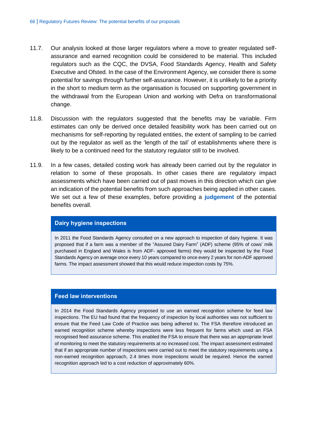- 11.7. Our analysis looked at those larger regulators where a move to greater regulated selfassurance and earned recognition could be considered to be material. This included regulators such as the CQC, the DVSA, Food Standards Agency, Health and Safety Executive and Ofsted. In the case of the Environment Agency, we consider there is some potential for savings through further self-assurance. However, it is unlikely to be a priority in the short to medium term as the organisation is focused on supporting government in the withdrawal from the European Union and working with Defra on transformational change.
- 11.8. Discussion with the regulators suggested that the benefits may be variable. Firm estimates can only be derived once detailed feasibility work has been carried out on mechanisms for self-reporting by regulated entities, the extent of sampling to be carried out by the regulator as well as the 'length of the tail' of establishments where there is likely to be a continued need for the statutory regulator still to be involved.
- 11.9. In a few cases, detailed costing work has already been carried out by the regulator in relation to some of these proposals. In other cases there are regulatory impact assessments which have been carried out of past moves in this direction which can give an indication of the potential benefits from such approaches being applied in other cases. We set out a few of these examples, before providing a **judgement** of the potential benefits overall.

### **Dairy hygiene inspections**

In 2011 the Food Standards Agency consulted on a new approach to inspection of dairy hygiene. It was proposed that if a farm was a member of the "Assured Dairy Farm" (ADF) scheme (95% of cows' milk purchased in England and Wales is from ADF- approved farms) they would be inspected by the Food Standards Agency on average once every 10 years compared to once every 2 years for non-ADF approved farms. The impact assessment showed that this would reduce inspection costs by 75%.

### **Feed law interventions**

In 2014 the Food Standards Agency proposed to use an earned recognition scheme for feed law inspections. The EU had found that the frequency of inspection by local authorities was not sufficient to ensure that the Feed Law Code of Practice was being adhered to. The FSA therefore introduced an earned recognition scheme whereby inspections were less frequent for farms which used an FSA recognised feed assurance scheme. This enabled the FSA to ensure that there was an appropriate level of monitoring to meet the statutory requirements at no increased cost. The impact assessment estimated that if an appropriate number of inspections were carried out to meet the statutory requirements using a non-earned recognition approach, 2.4 times more inspections would be required. Hence the earned recognition approach led to a cost reduction of approximately 60%.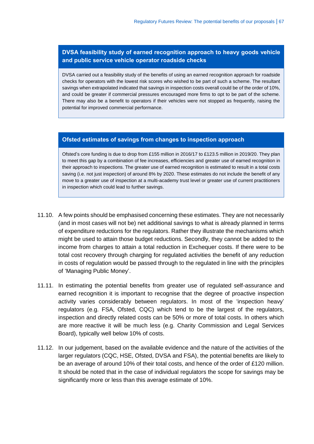### **DVSA feasibility study of earned recognition approach to heavy goods vehicle and public service vehicle operator roadside checks**

DVSA carried out a feasibility study of the benefits of using an earned recognition approach for roadside checks for operators with the lowest risk scores who wished to be part of such a scheme. The resultant savings when extrapolated indicated that savings in inspection costs overall could be of the order of 10%, and could be greater if commercial pressures encouraged more firms to opt to be part of the scheme. There may also be a benefit to operators if their vehicles were not stopped as frequently, raising the potential for improved commercial performance.

### **Ofsted estimates of savings from changes to inspection approach**

Ofsted's core funding is due to drop from £155 million in 2016/17 to £123.5 million in 2019/20. They plan to meet this gap by a combination of fee increases, efficiencies and greater use of earned recognition in their approach to inspections. The greater use of earned recognition is estimated to result in a total costs saving (i.e. not just inspection) of around 8% by 2020. These estimates do not include the benefit of any move to a greater use of inspection at a multi-academy trust level or greater use of current practitioners in inspection which could lead to further savings.

- 11.10. A few points should be emphasised concerning these estimates. They are not necessarily (and in most cases will not be) net additional savings to what is already planned in terms of expenditure reductions for the regulators. Rather they illustrate the mechanisms which might be used to attain those budget reductions. Secondly, they cannot be added to the income from charges to attain a total reduction in Exchequer costs. If there were to be total cost recovery through charging for regulated activities the benefit of any reduction in costs of regulation would be passed through to the regulated in line with the principles of 'Managing Public Money'.
- 11.11. In estimating the potential benefits from greater use of regulated self-assurance and earned recognition it is important to recognise that the degree of proactive inspection activity varies considerably between regulators. In most of the 'inspection heavy' regulators (e.g. FSA, Ofsted, CQC) which tend to be the largest of the regulators, inspection and directly related costs can be 50% or more of total costs. In others which are more reactive it will be much less (e.g. Charity Commission and Legal Services Board), typically well below 10% of costs.
- 11.12. In our judgement, based on the available evidence and the nature of the activities of the larger regulators (CQC, HSE, Ofsted, DVSA and FSA), the potential benefits are likely to be an average of around 10% of their total costs, and hence of the order of £120 million. It should be noted that in the case of individual regulators the scope for savings may be significantly more or less than this average estimate of 10%.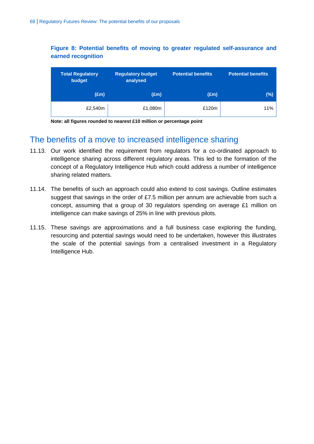### **Figure 8: Potential benefits of moving to greater regulated self-assurance and earned recognition**

| <b>Total Regulatory</b><br>budget | <b>Regulatory budget</b><br>analysed | <b>Potential benefits</b> | <b>Potential benefits</b> |
|-----------------------------------|--------------------------------------|---------------------------|---------------------------|
| $(\text{Em})$                     | $(\text{Em})$                        | $(\text{Em})$             | (%)                       |
| £2,540m                           | £1,080m                              | £120m                     | 11%                       |

**Note: all figures rounded to nearest £10 million or percentage point**

## The benefits of a move to increased intelligence sharing

- 11.13. Our work identified the requirement from regulators for a co-ordinated approach to intelligence sharing across different regulatory areas. This led to the formation of the concept of a Regulatory Intelligence Hub which could address a number of intelligence sharing related matters.
- 11.14. The benefits of such an approach could also extend to cost savings. Outline estimates suggest that savings in the order of £7.5 million per annum are achievable from such a concept, assuming that a group of 30 regulators spending on average £1 million on intelligence can make savings of 25% in line with previous pilots.
- 11.15. These savings are approximations and a full business case exploring the funding, resourcing and potential savings would need to be undertaken, however this illustrates the scale of the potential savings from a centralised investment in a Regulatory Intelligence Hub.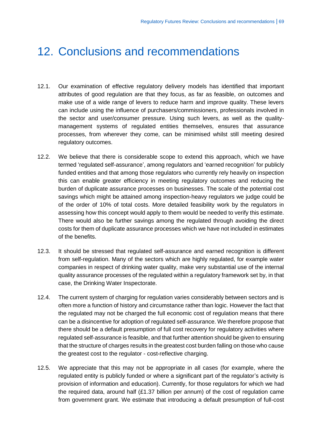## 12. Conclusions and recommendations

- 12.1. Our examination of effective regulatory delivery models has identified that important attributes of good regulation are that they focus, as far as feasible, on outcomes and make use of a wide range of levers to reduce harm and improve quality. These levers can include using the influence of purchasers/commissioners, professionals involved in the sector and user/consumer pressure. Using such levers, as well as the qualitymanagement systems of regulated entities themselves, ensures that assurance processes, from wherever they come, can be minimised whilst still meeting desired regulatory outcomes.
- 12.2. We believe that there is considerable scope to extend this approach, which we have termed 'regulated self-assurance', among regulators and 'earned recognition' for publicly funded entities and that among those regulators who currently rely heavily on inspection this can enable greater efficiency in meeting regulatory outcomes and reducing the burden of duplicate assurance processes on businesses. The scale of the potential cost savings which might be attained among inspection-heavy regulators we judge could be of the order of 10% of total costs. More detailed feasibility work by the regulators in assessing how this concept would apply to them would be needed to verify this estimate. There would also be further savings among the regulated through avoiding the direct costs for them of duplicate assurance processes which we have not included in estimates of the benefits.
- 12.3. It should be stressed that regulated self-assurance and earned recognition is different from self-regulation. Many of the sectors which are highly regulated, for example water companies in respect of drinking water quality, make very substantial use of the internal quality assurance processes of the regulated within a regulatory framework set by, in that case, the Drinking Water Inspectorate.
- 12.4. The current system of charging for regulation varies considerably between sectors and is often more a function of history and circumstance rather than logic. However the fact that the regulated may not be charged the full economic cost of regulation means that there can be a disincentive for adoption of regulated self-assurance. We therefore propose that there should be a default presumption of full cost recovery for regulatory activities where regulated self-assurance is feasible, and that further attention should be given to ensuring that the structure of charges results in the greatest cost burden falling on those who cause the greatest cost to the regulator - cost-reflective charging.
- 12.5. We appreciate that this may not be appropriate in all cases (for example, where the regulated entity is publicly funded or where a significant part of the regulator's activity is provision of information and education). Currently, for those regulators for which we had the required data, around half  $(E1.37$  billion per annum) of the cost of requlation came from government grant. We estimate that introducing a default presumption of full-cost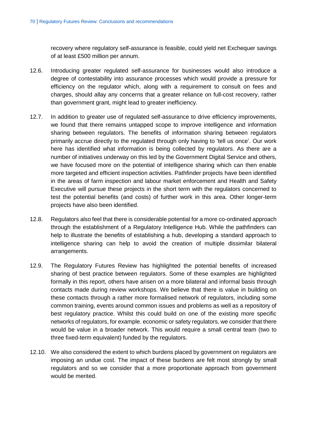recovery where regulatory self-assurance is feasible, could yield net Exchequer savings of at least £500 million per annum.

- 12.6. Introducing greater regulated self-assurance for businesses would also introduce a degree of contestability into assurance processes which would provide a pressure for efficiency on the regulator which, along with a requirement to consult on fees and charges, should allay any concerns that a greater reliance on full-cost recovery, rather than government grant, might lead to greater inefficiency.
- 12.7. In addition to greater use of regulated self-assurance to drive efficiency improvements, we found that there remains untapped scope to improve intelligence and information sharing between regulators. The benefits of information sharing between regulators primarily accrue directly to the regulated through only having to 'tell us once'. Our work here has identified what information is being collected by regulators. As there are a number of initiatives underway on this led by the Government Digital Service and others, we have focused more on the potential of intelligence sharing which can then enable more targeted and efficient inspection activities. Pathfinder projects have been identified in the areas of farm inspection and labour market enforcement and Health and Safety Executive will pursue these projects in the short term with the regulators concerned to test the potential benefits (and costs) of further work in this area. Other longer-term projects have also been identified.
- 12.8. Regulators also feel that there is considerable potential for a more co-ordinated approach through the establishment of a Regulatory Intelligence Hub. While the pathfinders can help to illustrate the benefits of establishing a hub, developing a standard approach to intelligence sharing can help to avoid the creation of multiple dissimilar bilateral arrangements.
- 12.9. The Regulatory Futures Review has highlighted the potential benefits of increased sharing of best practice between regulators. Some of these examples are highlighted formally in this report, others have arisen on a more bilateral and informal basis through contacts made during review workshops. We believe that there is value in building on these contacts through a rather more formalised network of regulators, including some common training, events around common issues and problems as well as a repository of best regulatory practice. Whilst this could build on one of the existing more specific networks of regulators, for example. economic or safety regulators, we consider that there would be value in a broader network. This would require a small central team (two to three fixed-term equivalent) funded by the regulators.
- 12.10. We also considered the extent to which burdens placed by government on regulators are imposing an undue cost. The impact of these burdens are felt most strongly by small regulators and so we consider that a more proportionate approach from government would be merited.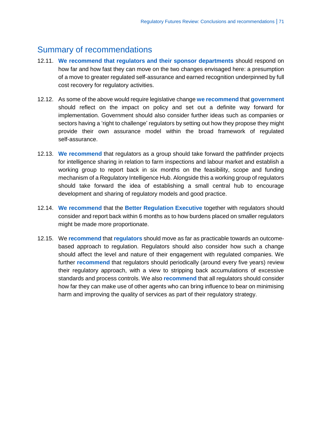## Summary of recommendations

- 12.11. **We recommend that regulators and their sponsor departments** should respond on how far and how fast they can move on the two changes envisaged here: a presumption of a move to greater regulated self-assurance and earned recognition underpinned by full cost recovery for regulatory activities.
- 12.12. As some of the above would require legislative change **we recommend** that **government** should reflect on the impact on policy and set out a definite way forward for implementation. Government should also consider further ideas such as companies or sectors having a 'right to challenge' regulators by setting out how they propose they might provide their own assurance model within the broad framework of regulated self-assurance.
- 12.13. **We recommend** that regulators as a group should take forward the pathfinder projects for intelligence sharing in relation to farm inspections and labour market and establish a working group to report back in six months on the feasibility, scope and funding mechanism of a Regulatory Intelligence Hub. Alongside this a working group of regulators should take forward the idea of establishing a small central hub to encourage development and sharing of regulatory models and good practice.
- 12.14. **We recommend** that the **Better Regulation Executive** together with regulators should consider and report back within 6 months as to how burdens placed on smaller regulators might be made more proportionate.
- 12.15. We **recommend** that **regulators** should move as far as practicable towards an outcomebased approach to regulation. Regulators should also consider how such a change should affect the level and nature of their engagement with regulated companies. We further **recommend** that regulators should periodically (around every five years) review their regulatory approach, with a view to stripping back accumulations of excessive standards and process controls. We also **recommend** that all regulators should consider how far they can make use of other agents who can bring influence to bear on minimising harm and improving the quality of services as part of their regulatory strategy.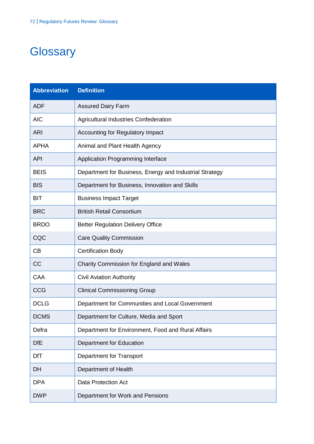## **Glossary**

| <b>Abbreviation</b> | <b>Definition</b>                                       |
|---------------------|---------------------------------------------------------|
| <b>ADF</b>          | <b>Assured Dairy Farm</b>                               |
| <b>AIC</b>          | Agricultural Industries Confederation                   |
| <b>ARI</b>          | Accounting for Regulatory Impact                        |
| <b>APHA</b>         | Animal and Plant Health Agency                          |
| <b>API</b>          | Application Programming Interface                       |
| <b>BEIS</b>         | Department for Business, Energy and Industrial Strategy |
| <b>BIS</b>          | Department for Business, Innovation and Skills          |
| <b>BIT</b>          | <b>Business Impact Target</b>                           |
| <b>BRC</b>          | <b>British Retail Consortium</b>                        |
| <b>BRDO</b>         | <b>Better Regulation Delivery Office</b>                |
| CQC                 | <b>Care Quality Commission</b>                          |
| CB                  | <b>Certification Body</b>                               |
| <b>CC</b>           | Charity Commission for England and Wales                |
| CAA                 | <b>Civil Aviation Authority</b>                         |
| <b>CCG</b>          | <b>Clinical Commissioning Group</b>                     |
| <b>DCLG</b>         | Department for Communities and Local Government         |
| <b>DCMS</b>         | Department for Culture, Media and Sport                 |
| Defra               | Department for Environment, Food and Rural Affairs      |
| <b>DfE</b>          | <b>Department for Education</b>                         |
| DfT                 | <b>Department for Transport</b>                         |
| DH                  | Department of Health                                    |
| <b>DPA</b>          | <b>Data Protection Act</b>                              |
| <b>DWP</b>          | Department for Work and Pensions                        |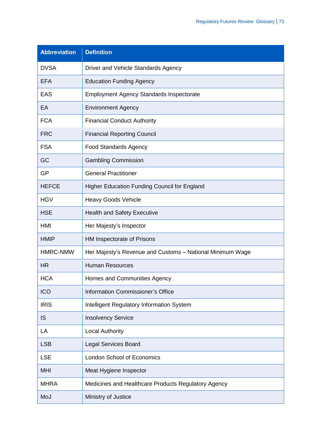| <b>Abbreviation</b> | <b>Definition</b>                                         |
|---------------------|-----------------------------------------------------------|
| <b>DVSA</b>         | Driver and Vehicle Standards Agency                       |
| <b>EFA</b>          | <b>Education Funding Agency</b>                           |
| <b>EAS</b>          | <b>Employment Agency Standards Inspectorate</b>           |
| EA                  | <b>Environment Agency</b>                                 |
| <b>FCA</b>          | <b>Financial Conduct Authority</b>                        |
| <b>FRC</b>          | <b>Financial Reporting Council</b>                        |
| <b>FSA</b>          | <b>Food Standards Agency</b>                              |
| GC                  | <b>Gambling Commission</b>                                |
| <b>GP</b>           | <b>General Practitioner</b>                               |
| <b>HEFCE</b>        | <b>Higher Education Funding Council for England</b>       |
| <b>HGV</b>          | Heavy Goods Vehicle                                       |
| <b>HSE</b>          | <b>Health and Safety Executive</b>                        |
| <b>HMI</b>          | Her Majesty's Inspector                                   |
| <b>HMIP</b>         | HM Inspectorate of Prisons                                |
| <b>HMRC-NMW</b>     | Her Majesty's Revenue and Customs - National Minimum Wage |
| <b>HR</b>           | <b>Human Resources</b>                                    |
| <b>HCA</b>          | Homes and Communities Agency                              |
| <b>ICO</b>          | <b>Information Commissioner's Office</b>                  |
| <b>IRIS</b>         | Intelligent Regulatory Information System                 |
| <b>IS</b>           | <b>Insolvency Service</b>                                 |
| LA                  | <b>Local Authority</b>                                    |
| <b>LSB</b>          | <b>Legal Services Board</b>                               |
| <b>LSE</b>          | <b>London School of Economics</b>                         |
| <b>MHI</b>          | Meat Hygiene Inspector                                    |
| <b>MHRA</b>         | Medicines and Healthcare Products Regulatory Agency       |
| MoJ                 | Ministry of Justice                                       |